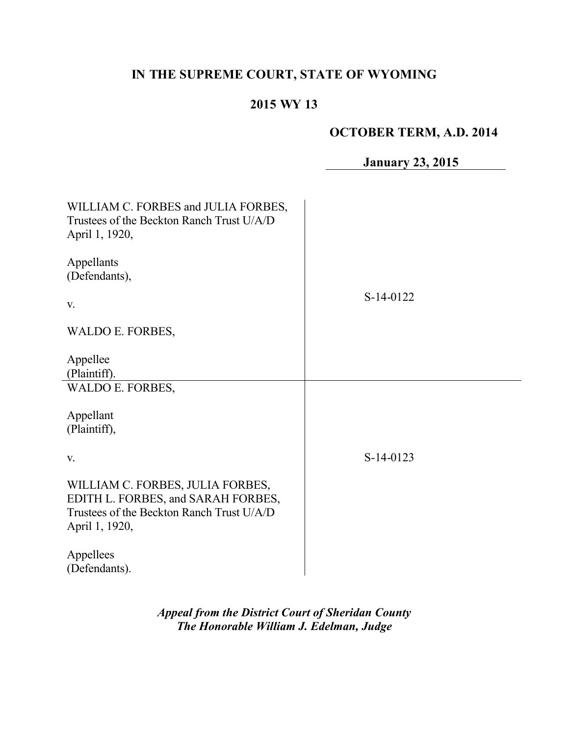# **IN THE SUPREME COURT, STATE OF WYOMING**

# **2015 WY 13**

## **OCTOBER TERM, A.D. 2014**

# **January 23, 2015**

| WILLIAM C. FORBES and JULIA FORBES,<br>Trustees of the Beckton Ranch Trust U/A/D<br>April 1, 1920,                                    |           |
|---------------------------------------------------------------------------------------------------------------------------------------|-----------|
| Appellants<br>(Defendants),                                                                                                           |           |
| V.                                                                                                                                    | S-14-0122 |
| WALDO E. FORBES,                                                                                                                      |           |
| Appellee<br>(Plaintiff).                                                                                                              |           |
| WALDO E. FORBES,                                                                                                                      |           |
| Appellant<br>(Plaintiff),                                                                                                             |           |
| V.                                                                                                                                    | S-14-0123 |
| WILLIAM C. FORBES, JULIA FORBES,<br>EDITH L. FORBES, and SARAH FORBES,<br>Trustees of the Beckton Ranch Trust U/A/D<br>April 1, 1920, |           |
| Appellees<br>(Defendants).                                                                                                            |           |

÷,

*Appeal from the District Court of Sheridan County The Honorable William J. Edelman, Judge*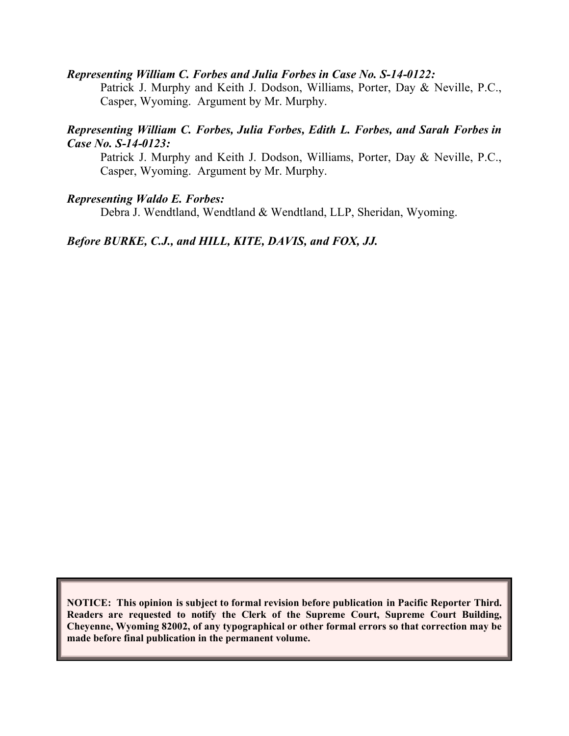#### *Representing William C. Forbes and Julia Forbes in Case No. S-14-0122:*

Patrick J. Murphy and Keith J. Dodson, Williams, Porter, Day & Neville, P.C., Casper, Wyoming. Argument by Mr. Murphy.

#### *Representing William C. Forbes, Julia Forbes, Edith L. Forbes, and Sarah Forbes in Case No. S-14-0123:*

Patrick J. Murphy and Keith J. Dodson, Williams, Porter, Day & Neville, P.C., Casper, Wyoming. Argument by Mr. Murphy.

#### *Representing Waldo E. Forbes:*

Debra J. Wendtland, Wendtland & Wendtland, LLP, Sheridan, Wyoming.

#### *Before BURKE, C.J., and HILL, KITE, DAVIS, and FOX, JJ.*

**NOTICE: This opinion is subject to formal revision before publication in Pacific Reporter Third. Readers are requested to notify the Clerk of the Supreme Court, Supreme Court Building, Cheyenne, Wyoming 82002, of any typographical or other formal errors so that correction may be made before final publication in the permanent volume.**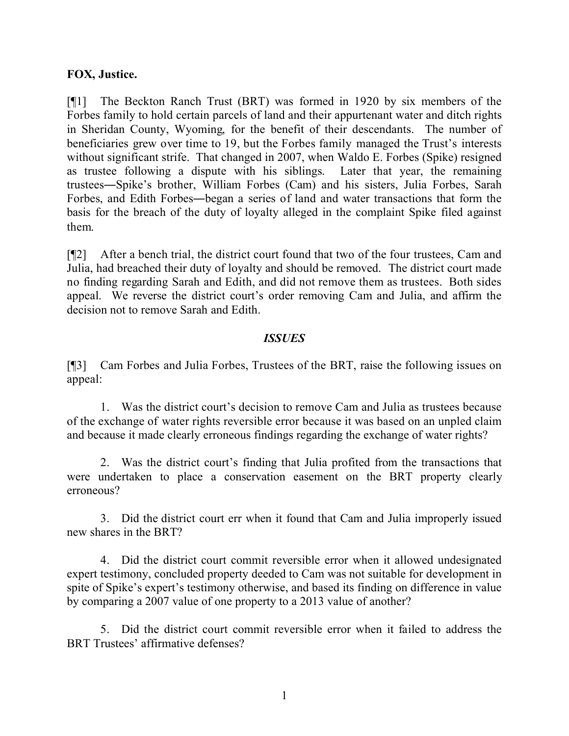#### **FOX, Justice.**

[¶1] The Beckton Ranch Trust (BRT) was formed in 1920 by six members of the Forbes family to hold certain parcels of land and their appurtenant water and ditch rights in Sheridan County, Wyoming, for the benefit of their descendants. The number of beneficiaries grew over time to 19, but the Forbes family managed the Trust's interests without significant strife. That changed in 2007, when Waldo E. Forbes (Spike) resigned as trustee following a dispute with his siblings. Later that year, the remaining trustees―Spike's brother, William Forbes (Cam) and his sisters, Julia Forbes, Sarah Forbes, and Edith Forbes―began a series of land and water transactions that form the basis for the breach of the duty of loyalty alleged in the complaint Spike filed against them.

[¶2] After a bench trial, the district court found that two of the four trustees, Cam and Julia, had breached their duty of loyalty and should be removed. The district court made no finding regarding Sarah and Edith, and did not remove them as trustees. Both sides appeal. We reverse the district court's order removing Cam and Julia, and affirm the decision not to remove Sarah and Edith.

#### *ISSUES*

[¶3] Cam Forbes and Julia Forbes, Trustees of the BRT, raise the following issues on appeal:

1. Was the district court's decision to remove Cam and Julia as trustees because of the exchange of water rights reversible error because it was based on an unpled claim and because it made clearly erroneous findings regarding the exchange of water rights?

2. Was the district court's finding that Julia profited from the transactions that were undertaken to place a conservation easement on the BRT property clearly erroneous?

3. Did the district court err when it found that Cam and Julia improperly issued new shares in the BRT?

4. Did the district court commit reversible error when it allowed undesignated expert testimony, concluded property deeded to Cam was not suitable for development in spite of Spike's expert's testimony otherwise, and based its finding on difference in value by comparing a 2007 value of one property to a 2013 value of another?

5. Did the district court commit reversible error when it failed to address the BRT Trustees' affirmative defenses?

1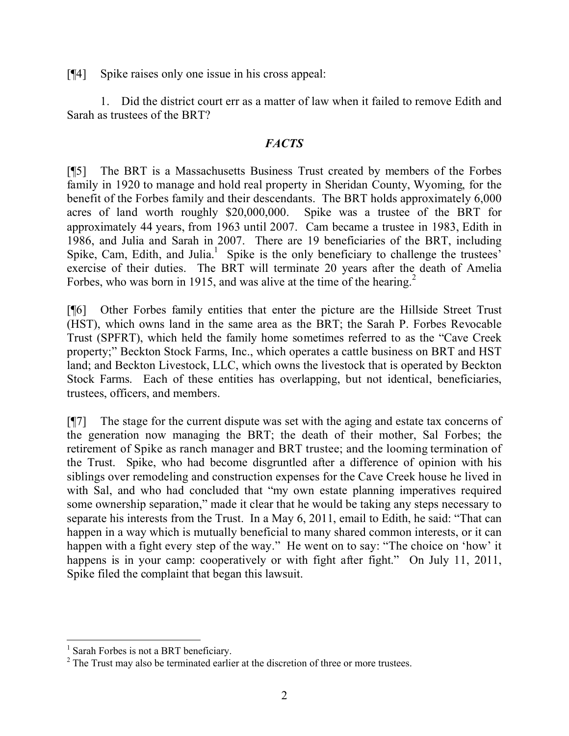[¶4] Spike raises only one issue in his cross appeal:

1. Did the district court err as a matter of law when it failed to remove Edith and Sarah as trustees of the BRT?

#### *FACTS*

[¶5] The BRT is a Massachusetts Business Trust created by members of the Forbes family in 1920 to manage and hold real property in Sheridan County, Wyoming, for the benefit of the Forbes family and their descendants. The BRT holds approximately 6,000 acres of land worth roughly \$20,000,000. Spike was a trustee of the BRT for approximately 44 years, from 1963 until 2007. Cam became a trustee in 1983, Edith in 1986, and Julia and Sarah in 2007. There are 19 beneficiaries of the BRT, including Spike, Cam, Edith, and Julia. $1$  Spike is the only beneficiary to challenge the trustees' exercise of their duties. The BRT will terminate 20 years after the death of Amelia Forbes, who was born in 1915, and was alive at the time of the hearing.<sup>2</sup>

[¶6] Other Forbes family entities that enter the picture are the Hillside Street Trust (HST), which owns land in the same area as the BRT; the Sarah P. Forbes Revocable Trust (SPFRT), which held the family home sometimes referred to as the "Cave Creek property;" Beckton Stock Farms, Inc., which operates a cattle business on BRT and HST land; and Beckton Livestock, LLC, which owns the livestock that is operated by Beckton Stock Farms. Each of these entities has overlapping, but not identical, beneficiaries, trustees, officers, and members.

[¶7] The stage for the current dispute was set with the aging and estate tax concerns of the generation now managing the BRT; the death of their mother, Sal Forbes; the retirement of Spike as ranch manager and BRT trustee; and the looming termination of the Trust. Spike, who had become disgruntled after a difference of opinion with his siblings over remodeling and construction expenses for the Cave Creek house he lived in with Sal, and who had concluded that "my own estate planning imperatives required some ownership separation," made it clear that he would be taking any steps necessary to separate his interests from the Trust. In a May 6, 2011, email to Edith, he said: "That can happen in a way which is mutually beneficial to many shared common interests, or it can happen with a fight every step of the way." He went on to say: "The choice on 'how' it happens is in your camp: cooperatively or with fight after fight." On July 11, 2011, Spike filed the complaint that began this lawsuit.

<sup>&</sup>lt;sup>1</sup> Sarah Forbes is not a BRT beneficiary.

<sup>&</sup>lt;sup>2</sup> The Trust may also be terminated earlier at the discretion of three or more trustees.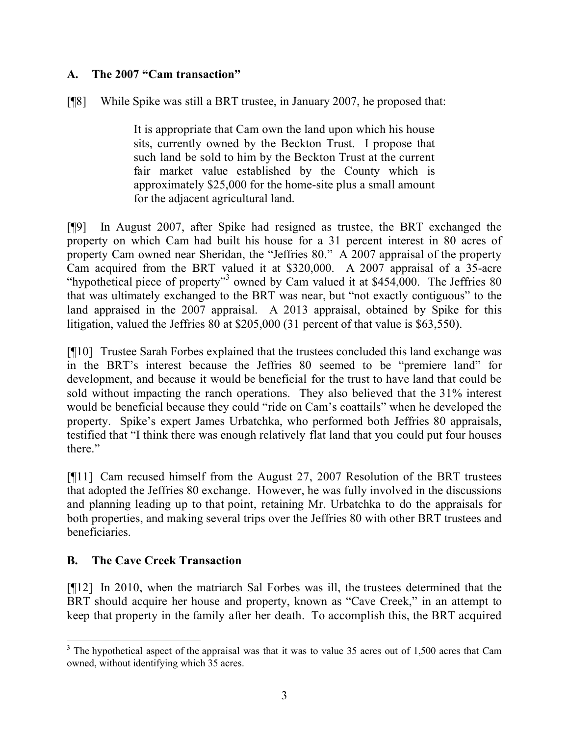#### **A. The 2007 "Cam transaction"**

[¶8] While Spike was still a BRT trustee, in January 2007, he proposed that:

It is appropriate that Cam own the land upon which his house sits, currently owned by the Beckton Trust. I propose that such land be sold to him by the Beckton Trust at the current fair market value established by the County which is approximately \$25,000 for the home-site plus a small amount for the adjacent agricultural land.

[¶9] In August 2007, after Spike had resigned as trustee, the BRT exchanged the property on which Cam had built his house for a 31 percent interest in 80 acres of property Cam owned near Sheridan, the "Jeffries 80." A 2007 appraisal of the property Cam acquired from the BRT valued it at \$320,000. A 2007 appraisal of a 35-acre "hypothetical piece of property"<sup>3</sup> owned by Cam valued it at  $$454,000$ . The Jeffries 80 that was ultimately exchanged to the BRT was near, but "not exactly contiguous" to the land appraised in the 2007 appraisal. A 2013 appraisal, obtained by Spike for this litigation, valued the Jeffries 80 at \$205,000 (31 percent of that value is \$63,550).

[¶10] Trustee Sarah Forbes explained that the trustees concluded this land exchange was in the BRT's interest because the Jeffries 80 seemed to be "premiere land" for development, and because it would be beneficial for the trust to have land that could be sold without impacting the ranch operations. They also believed that the 31% interest would be beneficial because they could "ride on Cam's coattails" when he developed the property. Spike's expert James Urbatchka, who performed both Jeffries 80 appraisals, testified that "I think there was enough relatively flat land that you could put four houses there."

[¶11] Cam recused himself from the August 27, 2007 Resolution of the BRT trustees that adopted the Jeffries 80 exchange. However, he was fully involved in the discussions and planning leading up to that point, retaining Mr. Urbatchka to do the appraisals for both properties, and making several trips over the Jeffries 80 with other BRT trustees and beneficiaries.

#### **B. The Cave Creek Transaction**

[¶12] In 2010, when the matriarch Sal Forbes was ill, the trustees determined that the BRT should acquire her house and property, known as "Cave Creek," in an attempt to keep that property in the family after her death. To accomplish this, the BRT acquired

  $3$  The hypothetical aspect of the appraisal was that it was to value 35 acres out of 1,500 acres that Cam owned, without identifying which 35 acres.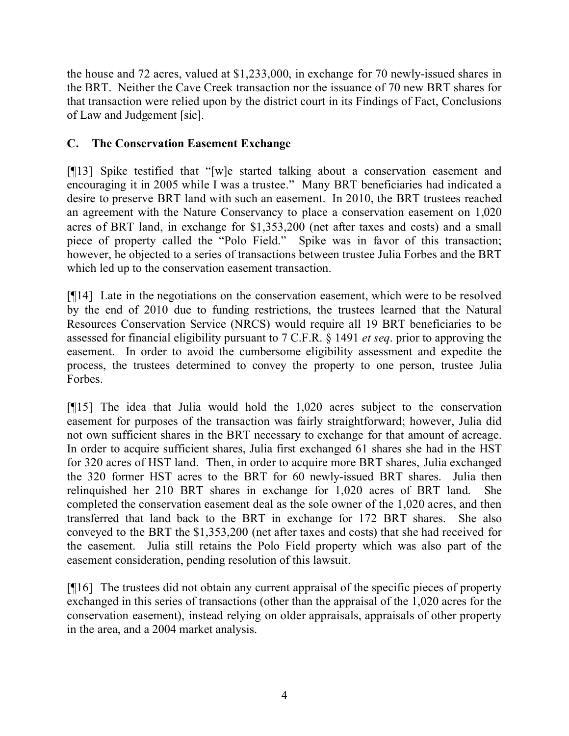the house and 72 acres, valued at \$1,233,000, in exchange for 70 newly-issued shares in the BRT. Neither the Cave Creek transaction nor the issuance of 70 new BRT shares for that transaction were relied upon by the district court in its Findings of Fact, Conclusions of Law and Judgement [sic].

### **C. The Conservation Easement Exchange**

[¶13] Spike testified that "[w]e started talking about a conservation easement and encouraging it in 2005 while I was a trustee." Many BRT beneficiaries had indicated a desire to preserve BRT land with such an easement. In 2010, the BRT trustees reached an agreement with the Nature Conservancy to place a conservation easement on 1,020 acres of BRT land, in exchange for \$1,353,200 (net after taxes and costs) and a small piece of property called the "Polo Field." Spike was in favor of this transaction; however, he objected to a series of transactions between trustee Julia Forbes and the BRT which led up to the conservation easement transaction.

[¶14] Late in the negotiations on the conservation easement, which were to be resolved by the end of 2010 due to funding restrictions, the trustees learned that the Natural Resources Conservation Service (NRCS) would require all 19 BRT beneficiaries to be assessed for financial eligibility pursuant to 7 C.F.R. § 1491 *et seq*. prior to approving the easement. In order to avoid the cumbersome eligibility assessment and expedite the process, the trustees determined to convey the property to one person, trustee Julia Forbes.

[¶15] The idea that Julia would hold the 1,020 acres subject to the conservation easement for purposes of the transaction was fairly straightforward; however, Julia did not own sufficient shares in the BRT necessary to exchange for that amount of acreage. In order to acquire sufficient shares, Julia first exchanged 61 shares she had in the HST for 320 acres of HST land. Then, in order to acquire more BRT shares, Julia exchanged the 320 former HST acres to the BRT for 60 newly-issued BRT shares. Julia then relinquished her 210 BRT shares in exchange for 1,020 acres of BRT land. She completed the conservation easement deal as the sole owner of the 1,020 acres, and then transferred that land back to the BRT in exchange for 172 BRT shares. She also conveyed to the BRT the \$1,353,200 (net after taxes and costs) that she had received for the easement. Julia still retains the Polo Field property which was also part of the easement consideration, pending resolution of this lawsuit.

[¶16] The trustees did not obtain any current appraisal of the specific pieces of property exchanged in this series of transactions (other than the appraisal of the 1,020 acres for the conservation easement), instead relying on older appraisals, appraisals of other property in the area, and a 2004 market analysis.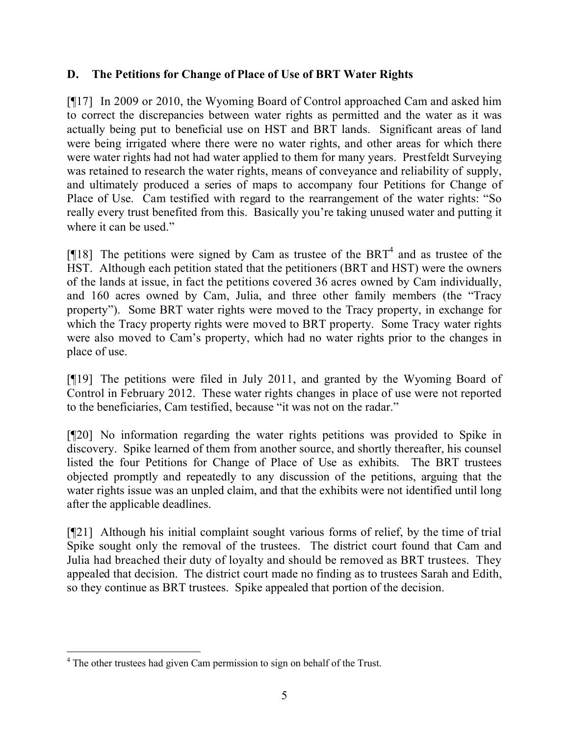### **D. The Petitions for Change of Place of Use of BRT Water Rights**

[¶17] In 2009 or 2010, the Wyoming Board of Control approached Cam and asked him to correct the discrepancies between water rights as permitted and the water as it was actually being put to beneficial use on HST and BRT lands. Significant areas of land were being irrigated where there were no water rights, and other areas for which there were water rights had not had water applied to them for many years. Prestfeldt Surveying was retained to research the water rights, means of conveyance and reliability of supply, and ultimately produced a series of maps to accompany four Petitions for Change of Place of Use. Cam testified with regard to the rearrangement of the water rights: "So really every trust benefited from this. Basically you're taking unused water and putting it where it can be used."

[ $[18]$ ] The petitions were signed by Cam as trustee of the BRT<sup>4</sup> and as trustee of the HST. Although each petition stated that the petitioners (BRT and HST) were the owners of the lands at issue, in fact the petitions covered 36 acres owned by Cam individually, and 160 acres owned by Cam, Julia, and three other family members (the "Tracy property"). Some BRT water rights were moved to the Tracy property, in exchange for which the Tracy property rights were moved to BRT property. Some Tracy water rights were also moved to Cam's property, which had no water rights prior to the changes in place of use.

[¶19] The petitions were filed in July 2011, and granted by the Wyoming Board of Control in February 2012. These water rights changes in place of use were not reported to the beneficiaries, Cam testified, because "it was not on the radar."

[¶20] No information regarding the water rights petitions was provided to Spike in discovery. Spike learned of them from another source, and shortly thereafter, his counsel listed the four Petitions for Change of Place of Use as exhibits. The BRT trustees objected promptly and repeatedly to any discussion of the petitions, arguing that the water rights issue was an unpled claim, and that the exhibits were not identified until long after the applicable deadlines.

[¶21] Although his initial complaint sought various forms of relief, by the time of trial Spike sought only the removal of the trustees. The district court found that Cam and Julia had breached their duty of loyalty and should be removed as BRT trustees. They appealed that decision. The district court made no finding as to trustees Sarah and Edith, so they continue as BRT trustees. Spike appealed that portion of the decision.

 <sup>4</sup> The other trustees had given Cam permission to sign on behalf of the Trust.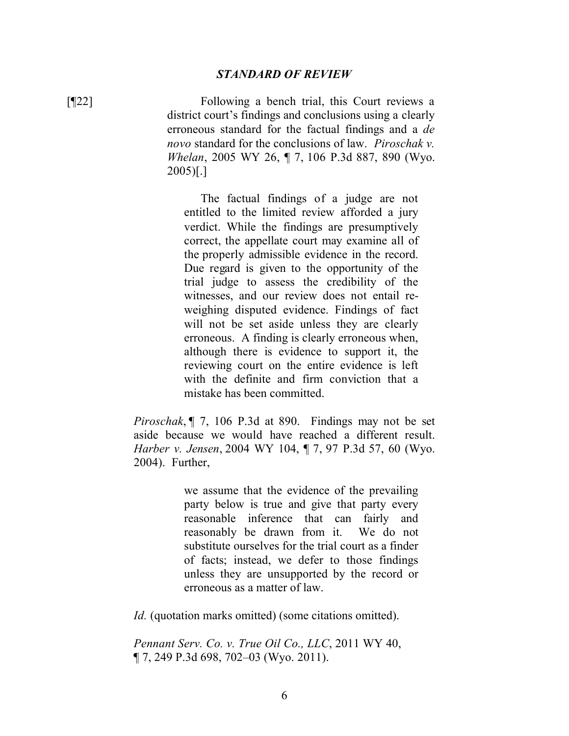#### *STANDARD OF REVIEW*

[¶22] Following a bench trial, this Court reviews a district court's findings and conclusions using a clearly erroneous standard for the factual findings and a *de novo* standard for the conclusions of law. *Piroschak v. Whelan*, 2005 WY 26, ¶ 7, 106 P.3d 887, 890 (Wyo. 2005)[.]

> The factual findings of a judge are not entitled to the limited review afforded a jury verdict. While the findings are presumptively correct, the appellate court may examine all of the properly admissible evidence in the record. Due regard is given to the opportunity of the trial judge to assess the credibility of the witnesses, and our review does not entail reweighing disputed evidence. Findings of fact will not be set aside unless they are clearly erroneous. A finding is clearly erroneous when, although there is evidence to support it, the reviewing court on the entire evidence is left with the definite and firm conviction that a mistake has been committed.

*Piroschak*, ¶ 7, 106 P.3d at 890. Findings may not be set aside because we would have reached a different result. *Harber v. Jensen*, 2004 WY 104, ¶ 7, 97 P.3d 57, 60 (Wyo. 2004). Further,

> we assume that the evidence of the prevailing party below is true and give that party every reasonable inference that can fairly and reasonably be drawn from it. We do not substitute ourselves for the trial court as a finder of facts; instead, we defer to those findings unless they are unsupported by the record or erroneous as a matter of law.

*Id.* (quotation marks omitted) (some citations omitted).

*Pennant Serv. Co. v. True Oil Co., LLC*, 2011 WY 40, ¶ 7, 249 P.3d 698, 702–03 (Wyo. 2011).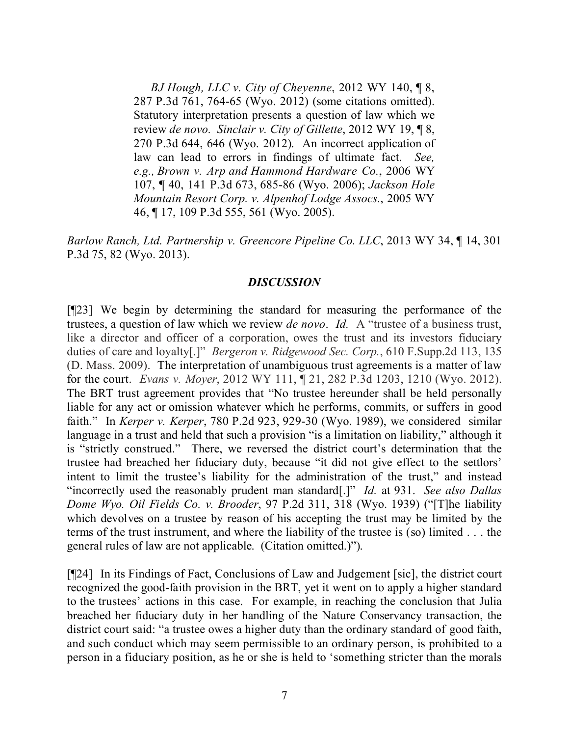*BJ Hough, LLC v. City of Cheyenne*, 2012 WY 140, ¶ 8, 287 P.3d 761, 764-65 (Wyo. 2012) (some citations omitted). Statutory interpretation presents a question of law which we review *de novo. Sinclair v. City of Gillette*, 2012 WY 19, ¶ 8, 270 P.3d 644, 646 (Wyo. 2012). An incorrect application of law can lead to errors in findings of ultimate fact. *See, e.g., Brown v. Arp and Hammond Hardware Co.*, 2006 WY 107, ¶ 40, 141 P.3d 673, 685-86 (Wyo. 2006); *Jackson Hole Mountain Resort Corp. v. Alpenhof Lodge Assocs.*, 2005 WY 46, ¶ 17, 109 P.3d 555, 561 (Wyo. 2005).

*Barlow Ranch, Ltd. Partnership v. Greencore Pipeline Co. LLC*, 2013 WY 34, ¶ 14, 301 P.3d 75, 82 (Wyo. 2013).

#### *DISCUSSION*

[¶23] We begin by determining the standard for measuring the performance of the trustees, a question of law which we review *de novo*. *Id.* A "trustee of a business trust, like a director and officer of a corporation, owes the trust and its investors fiduciary duties of care and loyalty[.]" *Bergeron v. Ridgewood Sec. Corp.*, 610 F.Supp.2d 113, 135 (D. Mass. 2009). The interpretation of unambiguous trust agreements is a matter of law for the court. *Evans v. Moyer*, 2012 WY 111, ¶ 21, 282 P.3d 1203, 1210 (Wyo. 2012). The BRT trust agreement provides that "No trustee hereunder shall be held personally liable for any act or omission whatever which he performs, commits, or suffers in good faith." In *Kerper v. Kerper*, 780 P.2d 923, 929-30 (Wyo. 1989), we considered similar language in a trust and held that such a provision "is a limitation on liability," although it is "strictly construed." There, we reversed the district court's determination that the trustee had breached her fiduciary duty, because "it did not give effect to the settlors' intent to limit the trustee's liability for the administration of the trust," and instead "incorrectly used the reasonably prudent man standard[.]" *Id.* at 931. *See also Dallas Dome Wyo. Oil Fields Co. v. Brooder*, 97 P.2d 311, 318 (Wyo. 1939) ("[T]he liability which devolves on a trustee by reason of his accepting the trust may be limited by the terms of the trust instrument, and where the liability of the trustee is (so) limited . . . the general rules of law are not applicable. (Citation omitted.)").

[¶24] In its Findings of Fact, Conclusions of Law and Judgement [sic], the district court recognized the good-faith provision in the BRT, yet it went on to apply a higher standard to the trustees' actions in this case. For example, in reaching the conclusion that Julia breached her fiduciary duty in her handling of the Nature Conservancy transaction, the district court said: "a trustee owes a higher duty than the ordinary standard of good faith, and such conduct which may seem permissible to an ordinary person, is prohibited to a person in a fiduciary position, as he or she is held to 'something stricter than the morals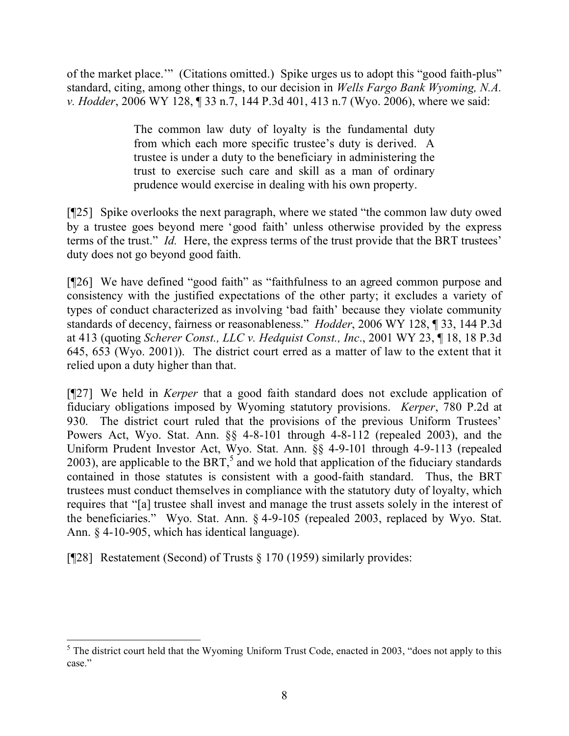of the market place.'" (Citations omitted.) Spike urges us to adopt this "good faith-plus" standard, citing, among other things, to our decision in *Wells Fargo Bank Wyoming, N.A. v. Hodder*, 2006 WY 128, ¶ 33 n.7, 144 P.3d 401, 413 n.7 (Wyo. 2006), where we said:

> The common law duty of loyalty is the fundamental duty from which each more specific trustee's duty is derived. A trustee is under a duty to the beneficiary in administering the trust to exercise such care and skill as a man of ordinary prudence would exercise in dealing with his own property.

[¶25] Spike overlooks the next paragraph, where we stated "the common law duty owed by a trustee goes beyond mere 'good faith' unless otherwise provided by the express terms of the trust." *Id.* Here, the express terms of the trust provide that the BRT trustees' duty does not go beyond good faith.

[¶26] We have defined "good faith" as "faithfulness to an agreed common purpose and consistency with the justified expectations of the other party; it excludes a variety of types of conduct characterized as involving 'bad faith' because they violate community standards of decency, fairness or reasonableness." *Hodder*, 2006 WY 128, ¶ 33, 144 P.3d at 413 (quoting *Scherer Const., LLC v. Hedquist Const., Inc*., 2001 WY 23, ¶ 18, 18 P.3d 645, 653 (Wyo. 2001)). The district court erred as a matter of law to the extent that it relied upon a duty higher than that.

[¶27] We held in *Kerper* that a good faith standard does not exclude application of fiduciary obligations imposed by Wyoming statutory provisions. *Kerper*, 780 P.2d at 930. The district court ruled that the provisions of the previous Uniform Trustees' Powers Act, Wyo. Stat. Ann. §§ 4-8-101 through 4-8-112 (repealed 2003), and the Uniform Prudent Investor Act, Wyo. Stat. Ann. §§ 4-9-101 through 4-9-113 (repealed 2003), are applicable to the BRT,<sup>5</sup> and we hold that application of the fiduciary standards contained in those statutes is consistent with a good-faith standard. Thus, the BRT trustees must conduct themselves in compliance with the statutory duty of loyalty, which requires that "[a] trustee shall invest and manage the trust assets solely in the interest of the beneficiaries." Wyo. Stat. Ann. § 4-9-105 (repealed 2003, replaced by Wyo. Stat. Ann. § 4-10-905, which has identical language).

[ $[$ [28] Restatement (Second) of Trusts  $\S 170$  (1959) similarly provides:

  $<sup>5</sup>$  The district court held that the Wyoming Uniform Trust Code, enacted in 2003, "does not apply to this</sup> case."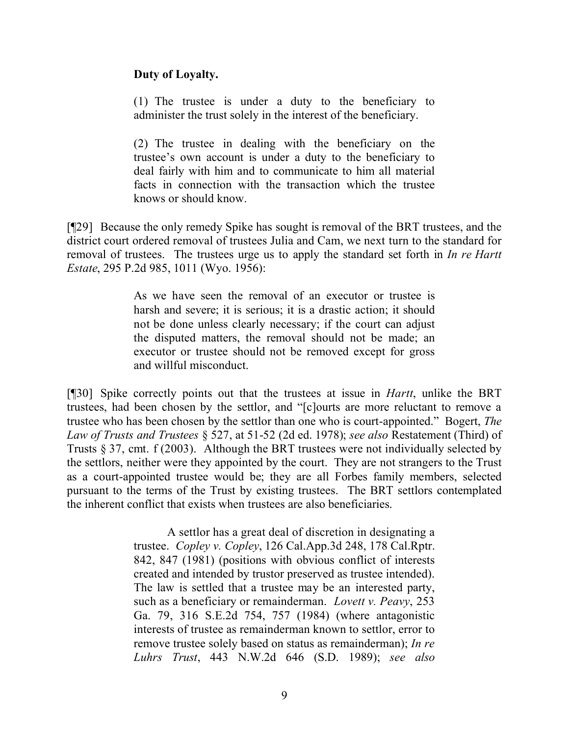### **Duty of Loyalty.**

(1) The trustee is under a duty to the beneficiary to administer the trust solely in the interest of the beneficiary.

(2) The trustee in dealing with the beneficiary on the trustee's own account is under a duty to the beneficiary to deal fairly with him and to communicate to him all material facts in connection with the transaction which the trustee knows or should know.

[¶29] Because the only remedy Spike has sought is removal of the BRT trustees, and the district court ordered removal of trustees Julia and Cam, we next turn to the standard for removal of trustees. The trustees urge us to apply the standard set forth in *In re Hartt Estate*, 295 P.2d 985, 1011 (Wyo. 1956):

> As we have seen the removal of an executor or trustee is harsh and severe; it is serious; it is a drastic action; it should not be done unless clearly necessary; if the court can adjust the disputed matters, the removal should not be made; an executor or trustee should not be removed except for gross and willful misconduct.

[¶30] Spike correctly points out that the trustees at issue in *Hartt*, unlike the BRT trustees, had been chosen by the settlor, and "[c]ourts are more reluctant to remove a trustee who has been chosen by the settlor than one who is court-appointed." Bogert, *The Law of Trusts and Trustees* § 527, at 51-52 (2d ed. 1978); *see also* Restatement (Third) of Trusts § 37, cmt. f (2003). Although the BRT trustees were not individually selected by the settlors, neither were they appointed by the court. They are not strangers to the Trust as a court-appointed trustee would be; they are all Forbes family members, selected pursuant to the terms of the Trust by existing trustees. The BRT settlors contemplated the inherent conflict that exists when trustees are also beneficiaries.

> A settlor has a great deal of discretion in designating a trustee. *Copley v. Copley*, 126 Cal.App.3d 248, 178 Cal.Rptr. 842, 847 (1981) (positions with obvious conflict of interests created and intended by trustor preserved as trustee intended). The law is settled that a trustee may be an interested party, such as a beneficiary or remainderman. *Lovett v. Peavy*, 253 Ga. 79, 316 S.E.2d 754, 757 (1984) (where antagonistic interests of trustee as remainderman known to settlor, error to remove trustee solely based on status as remainderman); *In re Luhrs Trust*, 443 N.W.2d 646 (S.D. 1989); *see also*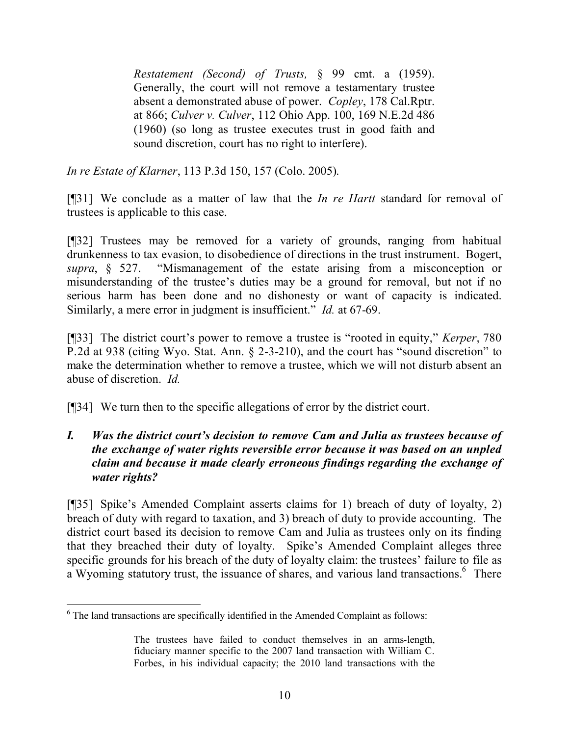*Restatement (Second) of Trusts,* § 99 cmt. a (1959). Generally, the court will not remove a testamentary trustee absent a demonstrated abuse of power. *Copley*, 178 Cal.Rptr. at 866; *Culver v. Culver*, 112 Ohio App. 100, 169 N.E.2d 486 (1960) (so long as trustee executes trust in good faith and sound discretion, court has no right to interfere).

*In re Estate of Klarner*, 113 P.3d 150, 157 (Colo. 2005).

[¶31] We conclude as a matter of law that the *In re Hartt* standard for removal of trustees is applicable to this case.

[¶32] Trustees may be removed for a variety of grounds, ranging from habitual drunkenness to tax evasion, to disobedience of directions in the trust instrument. Bogert, *supra*, § 527. "Mismanagement of the estate arising from a misconception or misunderstanding of the trustee's duties may be a ground for removal, but not if no serious harm has been done and no dishonesty or want of capacity is indicated. Similarly, a mere error in judgment is insufficient." *Id.* at 67-69.

[¶33] The district court's power to remove a trustee is "rooted in equity," *Kerper*, 780 P.2d at 938 (citing Wyo. Stat. Ann. § 2-3-210), and the court has "sound discretion" to make the determination whether to remove a trustee, which we will not disturb absent an abuse of discretion. *Id.*

[¶34] We turn then to the specific allegations of error by the district court.

### *I. Was the district court's decision to remove Cam and Julia as trustees because of the exchange of water rights reversible error because it was based on an unpled claim and because it made clearly erroneous findings regarding the exchange of water rights?*

[¶35] Spike's Amended Complaint asserts claims for 1) breach of duty of loyalty, 2) breach of duty with regard to taxation, and 3) breach of duty to provide accounting. The district court based its decision to remove Cam and Julia as trustees only on its finding that they breached their duty of loyalty. Spike's Amended Complaint alleges three specific grounds for his breach of the duty of loyalty claim: the trustees' failure to file as a Wyoming statutory trust, the issuance of shares, and various land transactions.<sup>6</sup> There

  $6$  The land transactions are specifically identified in the Amended Complaint as follows:

The trustees have failed to conduct themselves in an arms-length, fiduciary manner specific to the 2007 land transaction with William C. Forbes, in his individual capacity; the 2010 land transactions with the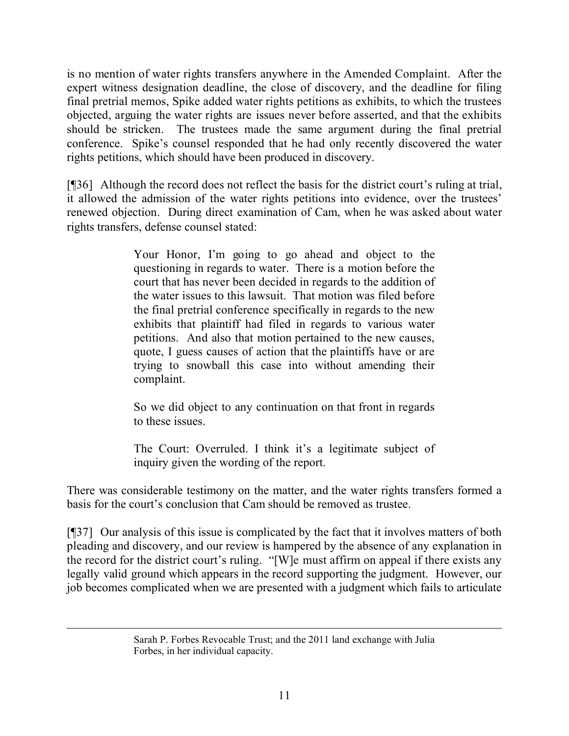is no mention of water rights transfers anywhere in the Amended Complaint. After the expert witness designation deadline, the close of discovery, and the deadline for filing final pretrial memos, Spike added water rights petitions as exhibits, to which the trustees objected, arguing the water rights are issues never before asserted, and that the exhibits should be stricken. The trustees made the same argument during the final pretrial conference. Spike's counsel responded that he had only recently discovered the water rights petitions, which should have been produced in discovery.

[¶36] Although the record does not reflect the basis for the district court's ruling at trial, it allowed the admission of the water rights petitions into evidence, over the trustees' renewed objection. During direct examination of Cam, when he was asked about water rights transfers, defense counsel stated:

> Your Honor, I'm going to go ahead and object to the questioning in regards to water. There is a motion before the court that has never been decided in regards to the addition of the water issues to this lawsuit. That motion was filed before the final pretrial conference specifically in regards to the new exhibits that plaintiff had filed in regards to various water petitions. And also that motion pertained to the new causes, quote, I guess causes of action that the plaintiffs have or are trying to snowball this case into without amending their complaint.

> So we did object to any continuation on that front in regards to these issues.

> The Court: Overruled. I think it's a legitimate subject of inquiry given the wording of the report.

There was considerable testimony on the matter, and the water rights transfers formed a basis for the court's conclusion that Cam should be removed as trustee.

[¶37] Our analysis of this issue is complicated by the fact that it involves matters of both pleading and discovery, and our review is hampered by the absence of any explanation in the record for the district court's ruling. "[W]e must affirm on appeal if there exists any legally valid ground which appears in the record supporting the judgment. However, our job becomes complicated when we are presented with a judgment which fails to articulate

Sarah P. Forbes Revocable Trust; and the 2011 land exchange with Julia Forbes, in her individual capacity.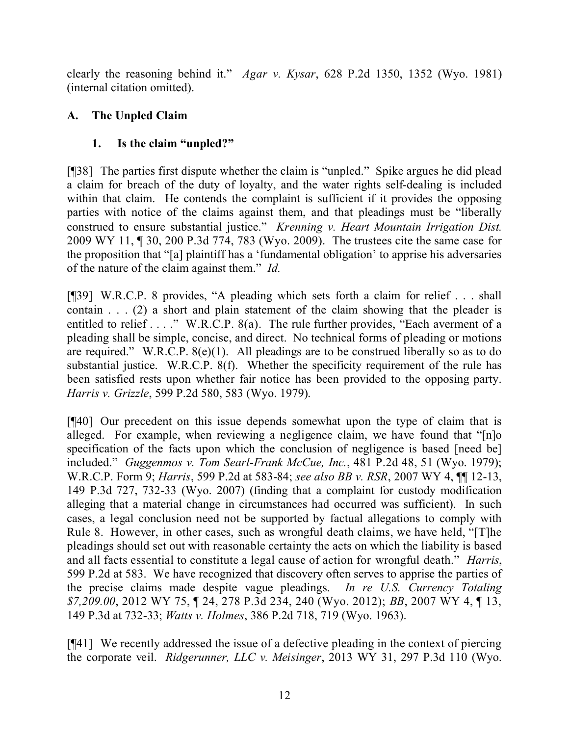clearly the reasoning behind it." *Agar v. Kysar*, 628 P.2d 1350, 1352 (Wyo. 1981) (internal citation omitted).

## **A. The Unpled Claim**

## **1. Is the claim "unpled?"**

[¶38] The parties first dispute whether the claim is "unpled." Spike argues he did plead a claim for breach of the duty of loyalty, and the water rights self-dealing is included within that claim. He contends the complaint is sufficient if it provides the opposing parties with notice of the claims against them, and that pleadings must be "liberally construed to ensure substantial justice." *Krenning v. Heart Mountain Irrigation Dist.* 2009 WY 11, ¶ 30, 200 P.3d 774, 783 (Wyo. 2009). The trustees cite the same case for the proposition that "[a] plaintiff has a 'fundamental obligation' to apprise his adversaries of the nature of the claim against them." *Id.*

[¶39] W.R.C.P. 8 provides, "A pleading which sets forth a claim for relief . . . shall contain . . . (2) a short and plain statement of the claim showing that the pleader is entitled to relief . . . ." W.R.C.P. 8(a). The rule further provides, "Each averment of a pleading shall be simple, concise, and direct. No technical forms of pleading or motions are required." W.R.C.P.  $8(e)(1)$ . All pleadings are to be construed liberally so as to do substantial justice. W.R.C.P. 8(f). Whether the specificity requirement of the rule has been satisfied rests upon whether fair notice has been provided to the opposing party. *Harris v. Grizzle*, 599 P.2d 580, 583 (Wyo. 1979).

[¶40] Our precedent on this issue depends somewhat upon the type of claim that is alleged. For example, when reviewing a negligence claim, we have found that "[n]o specification of the facts upon which the conclusion of negligence is based [need be] included." *Guggenmos v. Tom Searl-Frank McCue, Inc.*, 481 P.2d 48, 51 (Wyo. 1979); W.R.C.P. Form 9; *Harris*, 599 P.2d at 583-84; *see also BB v. RSR*, 2007 WY 4, ¶¶ 12-13, 149 P.3d 727, 732-33 (Wyo. 2007) (finding that a complaint for custody modification alleging that a material change in circumstances had occurred was sufficient). In such cases, a legal conclusion need not be supported by factual allegations to comply with Rule 8. However, in other cases, such as wrongful death claims, we have held, "[T]he pleadings should set out with reasonable certainty the acts on which the liability is based and all facts essential to constitute a legal cause of action for wrongful death." *Harris*, 599 P.2d at 583. We have recognized that discovery often serves to apprise the parties of the precise claims made despite vague pleadings. *In re U.S. Currency Totaling \$7,209.00*, 2012 WY 75, ¶ 24, 278 P.3d 234, 240 (Wyo. 2012); *BB*, 2007 WY 4, ¶ 13, 149 P.3d at 732-33; *Watts v. Holmes*, 386 P.2d 718, 719 (Wyo. 1963).

[¶41] We recently addressed the issue of a defective pleading in the context of piercing the corporate veil. *Ridgerunner, LLC v. Meisinger*, 2013 WY 31, 297 P.3d 110 (Wyo.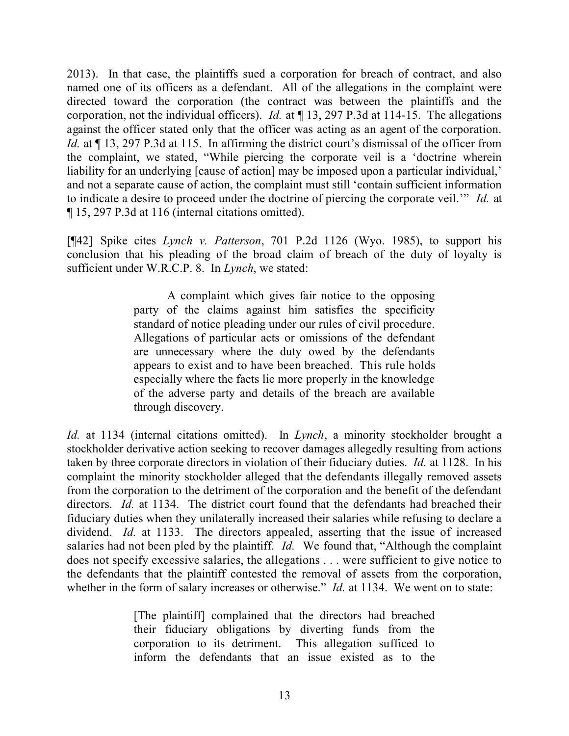2013). In that case, the plaintiffs sued a corporation for breach of contract, and also named one of its officers as a defendant. All of the allegations in the complaint were directed toward the corporation (the contract was between the plaintiffs and the corporation, not the individual officers). *Id.* at ¶ 13, 297 P.3d at 114-15. The allegations against the officer stated only that the officer was acting as an agent of the corporation. *Id.* at  $\P$  13, 297 P.3d at 115. In affirming the district court's dismissal of the officer from the complaint, we stated, "While piercing the corporate veil is a 'doctrine wherein liability for an underlying [cause of action] may be imposed upon a particular individual,' and not a separate cause of action, the complaint must still 'contain sufficient information to indicate a desire to proceed under the doctrine of piercing the corporate veil.'" *Id.* at ¶ 15, 297 P.3d at 116 (internal citations omitted).

[¶42] Spike cites *Lynch v. Patterson*, 701 P.2d 1126 (Wyo. 1985), to support his conclusion that his pleading of the broad claim of breach of the duty of loyalty is sufficient under W.R.C.P. 8. In *Lynch*, we stated:

> A complaint which gives fair notice to the opposing party of the claims against him satisfies the specificity standard of notice pleading under our rules of civil procedure. Allegations of particular acts or omissions of the defendant are unnecessary where the duty owed by the defendants appears to exist and to have been breached. This rule holds especially where the facts lie more properly in the knowledge of the adverse party and details of the breach are available through discovery.

*Id.* at 1134 (internal citations omitted). In *Lynch*, a minority stockholder brought a stockholder derivative action seeking to recover damages allegedly resulting from actions taken by three corporate directors in violation of their fiduciary duties. *Id.* at 1128. In his complaint the minority stockholder alleged that the defendants illegally removed assets from the corporation to the detriment of the corporation and the benefit of the defendant directors. *Id.* at 1134. The district court found that the defendants had breached their fiduciary duties when they unilaterally increased their salaries while refusing to declare a dividend. *Id.* at 1133. The directors appealed, asserting that the issue of increased salaries had not been pled by the plaintiff. *Id.* We found that, "Although the complaint does not specify excessive salaries, the allegations . . . were sufficient to give notice to the defendants that the plaintiff contested the removal of assets from the corporation, whether in the form of salary increases or otherwise." *Id.* at 1134. We went on to state:

> [The plaintiff] complained that the directors had breached their fiduciary obligations by diverting funds from the corporation to its detriment. This allegation sufficed to inform the defendants that an issue existed as to the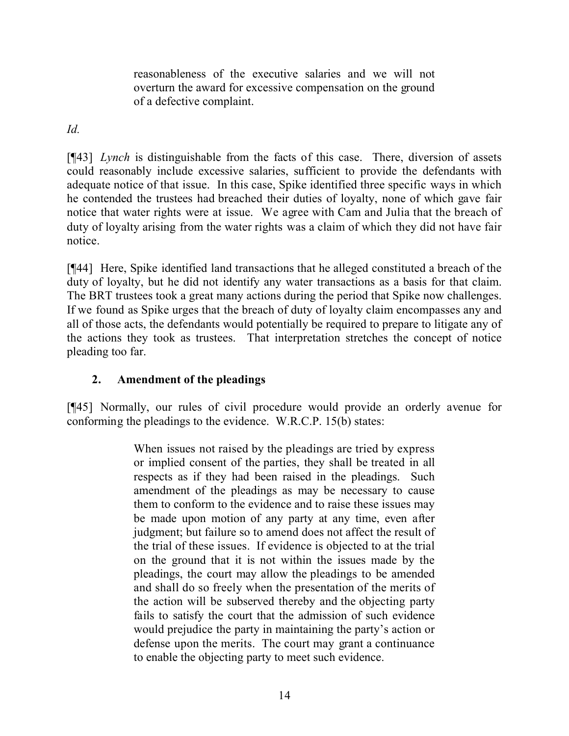reasonableness of the executive salaries and we will not overturn the award for excessive compensation on the ground of a defective complaint.

*Id.*

[¶43] *Lynch* is distinguishable from the facts of this case. There, diversion of assets could reasonably include excessive salaries, sufficient to provide the defendants with adequate notice of that issue. In this case, Spike identified three specific ways in which he contended the trustees had breached their duties of loyalty, none of which gave fair notice that water rights were at issue. We agree with Cam and Julia that the breach of duty of loyalty arising from the water rights was a claim of which they did not have fair notice.

[¶44] Here, Spike identified land transactions that he alleged constituted a breach of the duty of loyalty, but he did not identify any water transactions as a basis for that claim. The BRT trustees took a great many actions during the period that Spike now challenges. If we found as Spike urges that the breach of duty of loyalty claim encompasses any and all of those acts, the defendants would potentially be required to prepare to litigate any of the actions they took as trustees. That interpretation stretches the concept of notice pleading too far.

# **2. Amendment of the pleadings**

[¶45] Normally, our rules of civil procedure would provide an orderly avenue for conforming the pleadings to the evidence. W.R.C.P. 15(b) states:

> When issues not raised by the pleadings are tried by express or implied consent of the parties, they shall be treated in all respects as if they had been raised in the pleadings. Such amendment of the pleadings as may be necessary to cause them to conform to the evidence and to raise these issues may be made upon motion of any party at any time, even after judgment; but failure so to amend does not affect the result of the trial of these issues. If evidence is objected to at the trial on the ground that it is not within the issues made by the pleadings, the court may allow the pleadings to be amended and shall do so freely when the presentation of the merits of the action will be subserved thereby and the objecting party fails to satisfy the court that the admission of such evidence would prejudice the party in maintaining the party's action or defense upon the merits. The court may grant a continuance to enable the objecting party to meet such evidence.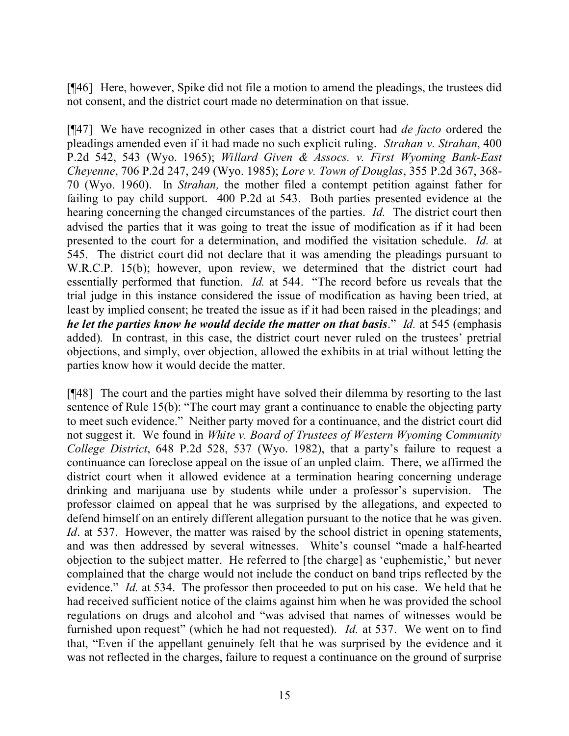[¶46] Here, however, Spike did not file a motion to amend the pleadings, the trustees did not consent, and the district court made no determination on that issue.

[¶47] We have recognized in other cases that a district court had *de facto* ordered the pleadings amended even if it had made no such explicit ruling. *Strahan v. Strahan*, 400 P.2d 542, 543 (Wyo. 1965); *Willard Given & Assocs. v. First Wyoming Bank-East Cheyenne*, 706 P.2d 247, 249 (Wyo. 1985); *Lore v. Town of Douglas*, 355 P.2d 367, 368- 70 (Wyo. 1960). In *Strahan,* the mother filed a contempt petition against father for failing to pay child support. 400 P.2d at 543. Both parties presented evidence at the hearing concerning the changed circumstances of the parties. *Id.* The district court then advised the parties that it was going to treat the issue of modification as if it had been presented to the court for a determination, and modified the visitation schedule. *Id.* at 545. The district court did not declare that it was amending the pleadings pursuant to W.R.C.P. 15(b); however, upon review, we determined that the district court had essentially performed that function. *Id.* at 544. "The record before us reveals that the trial judge in this instance considered the issue of modification as having been tried, at least by implied consent; he treated the issue as if it had been raised in the pleadings; and *he let the parties know he would decide the matter on that basis*." *Id.* at 545 (emphasis added). In contrast, in this case, the district court never ruled on the trustees' pretrial objections, and simply, over objection, allowed the exhibits in at trial without letting the parties know how it would decide the matter.

[¶48] The court and the parties might have solved their dilemma by resorting to the last sentence of Rule 15(b): "The court may grant a continuance to enable the objecting party to meet such evidence." Neither party moved for a continuance, and the district court did not suggest it. We found in *White v. Board of Trustees of Western Wyoming Community College District*, 648 P.2d 528, 537 (Wyo. 1982), that a party's failure to request a continuance can foreclose appeal on the issue of an unpled claim. There, we affirmed the district court when it allowed evidence at a termination hearing concerning underage drinking and marijuana use by students while under a professor's supervision. The professor claimed on appeal that he was surprised by the allegations, and expected to defend himself on an entirely different allegation pursuant to the notice that he was given. *Id*. at 537. However, the matter was raised by the school district in opening statements, and was then addressed by several witnesses. White's counsel "made a half-hearted objection to the subject matter. He referred to [the charge] as 'euphemistic,' but never complained that the charge would not include the conduct on band trips reflected by the evidence." *Id.* at 534. The professor then proceeded to put on his case. We held that he had received sufficient notice of the claims against him when he was provided the school regulations on drugs and alcohol and "was advised that names of witnesses would be furnished upon request" (which he had not requested). *Id.* at 537. We went on to find that, "Even if the appellant genuinely felt that he was surprised by the evidence and it was not reflected in the charges, failure to request a continuance on the ground of surprise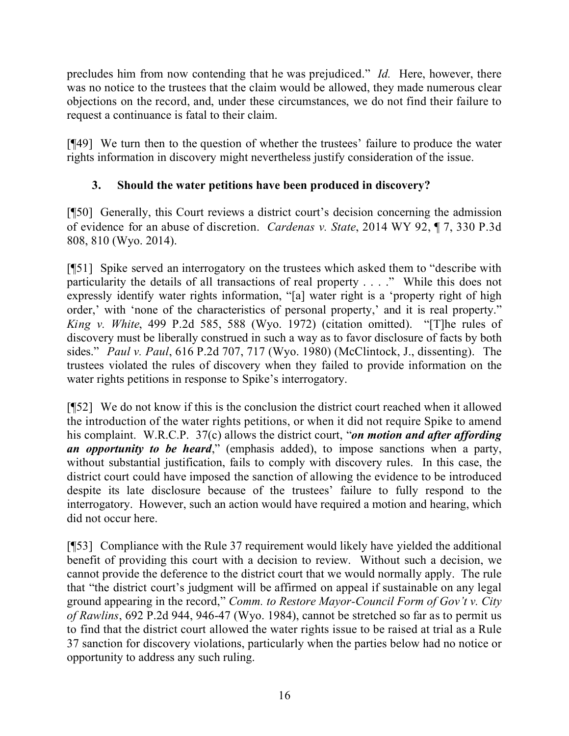precludes him from now contending that he was prejudiced." *Id.* Here, however, there was no notice to the trustees that the claim would be allowed, they made numerous clear objections on the record, and, under these circumstances, we do not find their failure to request a continuance is fatal to their claim.

[¶49] We turn then to the question of whether the trustees' failure to produce the water rights information in discovery might nevertheless justify consideration of the issue.

## **3. Should the water petitions have been produced in discovery?**

[¶50] Generally, this Court reviews a district court's decision concerning the admission of evidence for an abuse of discretion. *Cardenas v. State*, 2014 WY 92, ¶ 7, 330 P.3d 808, 810 (Wyo. 2014).

[¶51] Spike served an interrogatory on the trustees which asked them to "describe with particularity the details of all transactions of real property . . . ." While this does not expressly identify water rights information, "[a] water right is a 'property right of high order,' with 'none of the characteristics of personal property,' and it is real property." *King v. White*, 499 P.2d 585, 588 (Wyo. 1972) (citation omitted). "[T]he rules of discovery must be liberally construed in such a way as to favor disclosure of facts by both sides." *Paul v. Paul*, 616 P.2d 707, 717 (Wyo. 1980) (McClintock, J., dissenting). The trustees violated the rules of discovery when they failed to provide information on the water rights petitions in response to Spike's interrogatory.

[¶52] We do not know if this is the conclusion the district court reached when it allowed the introduction of the water rights petitions, or when it did not require Spike to amend his complaint. W.R.C.P. 37(c) allows the district court, "*on motion and after affording an opportunity to be heard*," (emphasis added), to impose sanctions when a party, without substantial justification, fails to comply with discovery rules. In this case, the district court could have imposed the sanction of allowing the evidence to be introduced despite its late disclosure because of the trustees' failure to fully respond to the interrogatory. However, such an action would have required a motion and hearing, which did not occur here.

[¶53] Compliance with the Rule 37 requirement would likely have yielded the additional benefit of providing this court with a decision to review. Without such a decision, we cannot provide the deference to the district court that we would normally apply. The rule that "the district court's judgment will be affirmed on appeal if sustainable on any legal ground appearing in the record," *Comm. to Restore Mayor-Council Form of Gov't v. City of Rawlins*, 692 P.2d 944, 946-47 (Wyo. 1984), cannot be stretched so far as to permit us to find that the district court allowed the water rights issue to be raised at trial as a Rule 37 sanction for discovery violations, particularly when the parties below had no notice or opportunity to address any such ruling.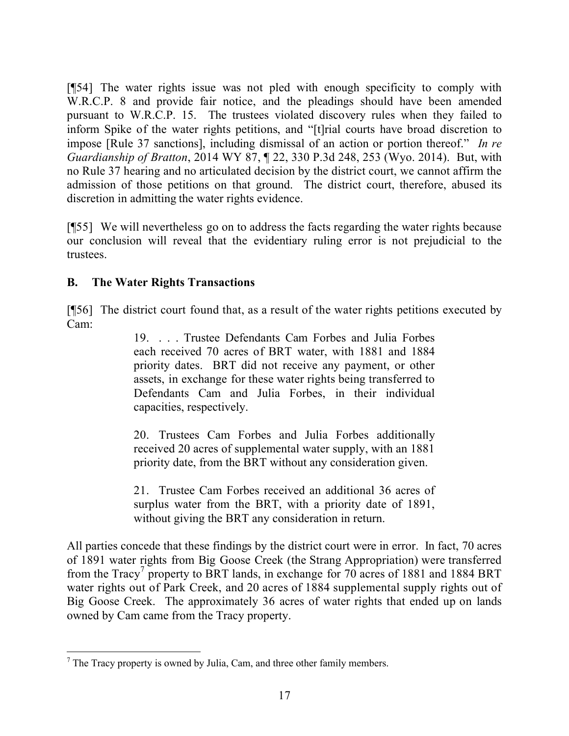[¶54] The water rights issue was not pled with enough specificity to comply with W.R.C.P. 8 and provide fair notice, and the pleadings should have been amended pursuant to W.R.C.P. 15. The trustees violated discovery rules when they failed to inform Spike of the water rights petitions, and "[t]rial courts have broad discretion to impose [Rule 37 sanctions], including dismissal of an action or portion thereof." *In re Guardianship of Bratton*, 2014 WY 87, ¶ 22, 330 P.3d 248, 253 (Wyo. 2014). But, with no Rule 37 hearing and no articulated decision by the district court, we cannot affirm the admission of those petitions on that ground. The district court, therefore, abused its discretion in admitting the water rights evidence.

[¶55] We will nevertheless go on to address the facts regarding the water rights because our conclusion will reveal that the evidentiary ruling error is not prejudicial to the trustees.

### **B. The Water Rights Transactions**

[¶56] The district court found that, as a result of the water rights petitions executed by Cam:

> 19. . . . Trustee Defendants Cam Forbes and Julia Forbes each received 70 acres of BRT water, with 1881 and 1884 priority dates. BRT did not receive any payment, or other assets, in exchange for these water rights being transferred to Defendants Cam and Julia Forbes, in their individual capacities, respectively.

> 20. Trustees Cam Forbes and Julia Forbes additionally received 20 acres of supplemental water supply, with an 1881 priority date, from the BRT without any consideration given.

> 21. Trustee Cam Forbes received an additional 36 acres of surplus water from the BRT, with a priority date of 1891, without giving the BRT any consideration in return.

All parties concede that these findings by the district court were in error. In fact, 70 acres of 1891 water rights from Big Goose Creek (the Strang Appropriation) were transferred from the Tracy<sup>7</sup> property to BRT lands, in exchange for 70 acres of 1881 and 1884 BRT water rights out of Park Creek, and 20 acres of 1884 supplemental supply rights out of Big Goose Creek. The approximately 36 acres of water rights that ended up on lands owned by Cam came from the Tracy property.

  $<sup>7</sup>$  The Tracy property is owned by Julia, Cam, and three other family members.</sup>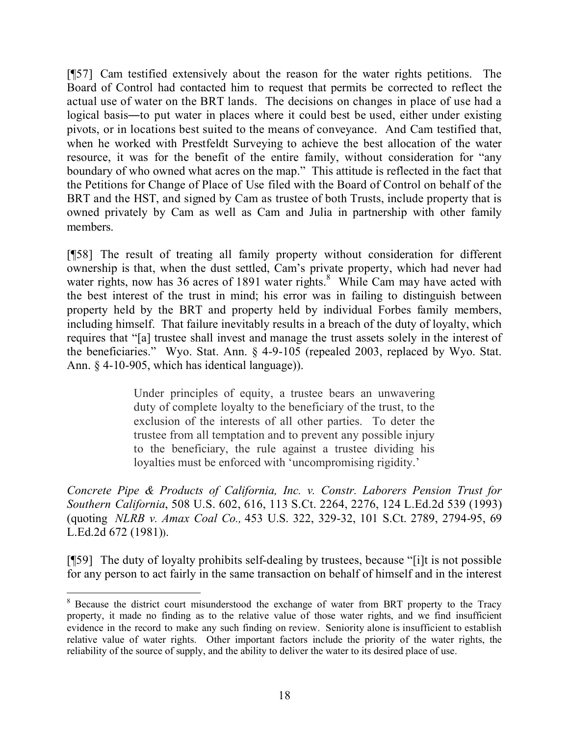[¶57] Cam testified extensively about the reason for the water rights petitions. The Board of Control had contacted him to request that permits be corrected to reflect the actual use of water on the BRT lands. The decisions on changes in place of use had a logical basis―to put water in places where it could best be used, either under existing pivots, or in locations best suited to the means of conveyance. And Cam testified that, when he worked with Prestfeldt Surveying to achieve the best allocation of the water resource, it was for the benefit of the entire family, without consideration for "any boundary of who owned what acres on the map." This attitude is reflected in the fact that the Petitions for Change of Place of Use filed with the Board of Control on behalf of the BRT and the HST, and signed by Cam as trustee of both Trusts, include property that is owned privately by Cam as well as Cam and Julia in partnership with other family members.

[¶58] The result of treating all family property without consideration for different ownership is that, when the dust settled, Cam's private property, which had never had water rights, now has 36 acres of 1891 water rights. $8$  While Cam may have acted with the best interest of the trust in mind; his error was in failing to distinguish between property held by the BRT and property held by individual Forbes family members, including himself. That failure inevitably results in a breach of the duty of loyalty, which requires that "[a] trustee shall invest and manage the trust assets solely in the interest of the beneficiaries." Wyo. Stat. Ann. § 4-9-105 (repealed 2003, replaced by Wyo. Stat. Ann. § 4-10-905, which has identical language)).

> Under principles of equity, a trustee bears an unwavering duty of complete loyalty to the beneficiary of the trust, to the exclusion of the interests of all other parties. To deter the trustee from all temptation and to prevent any possible injury to the beneficiary, the rule against a trustee dividing his loyalties must be enforced with 'uncompromising rigidity.'

*Concrete Pipe & Products of California, Inc. v. Constr. Laborers Pension Trust for Southern California*, 508 U.S. 602, 616, 113 S.Ct. 2264, 2276, 124 L.Ed.2d 539 (1993) (quoting *NLRB v. Amax Coal Co.,* 453 U.S. 322, 329-32, 101 S.Ct. 2789, 2794-95, 69 L.Ed.2d 672 (1981)).

[¶59] The duty of loyalty prohibits self-dealing by trustees, because "[i]t is not possible for any person to act fairly in the same transaction on behalf of himself and in the interest

 <sup>8</sup> Because the district court misunderstood the exchange of water from BRT property to the Tracy property, it made no finding as to the relative value of those water rights, and we find insufficient evidence in the record to make any such finding on review. Seniority alone is insufficient to establish relative value of water rights. Other important factors include the priority of the water rights, the reliability of the source of supply, and the ability to deliver the water to its desired place of use.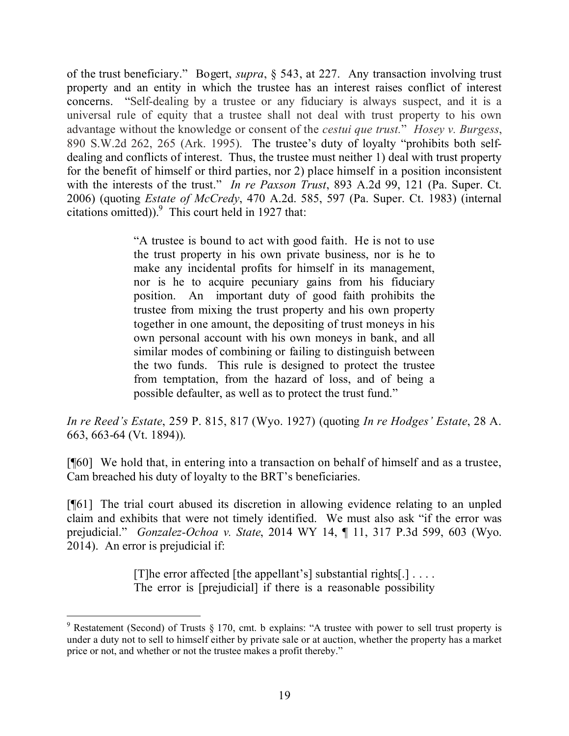of the trust beneficiary." Bogert, *supra*, § 543, at 227. Any transaction involving trust property and an entity in which the trustee has an interest raises conflict of interest concerns. "Self-dealing by a trustee or any fiduciary is always suspect, and it is a universal rule of equity that a trustee shall not deal with trust property to his own advantage without the knowledge or consent of the *cestui que trust.*" *Hosey v. Burgess*, 890 S.W.2d 262, 265 (Ark. 1995). The trustee's duty of loyalty "prohibits both selfdealing and conflicts of interest. Thus, the trustee must neither 1) deal with trust property for the benefit of himself or third parties, nor 2) place himself in a position inconsistent with the interests of the trust." *In re Paxson Trust*, 893 A.2d 99, 121 (Pa. Super. Ct. 2006) (quoting *Estate of McCredy*, 470 A.2d. 585, 597 (Pa. Super. Ct. 1983) (internal citations omitted)). $9$  This court held in 1927 that:

> "A trustee is bound to act with good faith. He is not to use the trust property in his own private business, nor is he to make any incidental profits for himself in its management, nor is he to acquire pecuniary gains from his fiduciary position. An important duty of good faith prohibits the trustee from mixing the trust property and his own property together in one amount, the depositing of trust moneys in his own personal account with his own moneys in bank, and all similar modes of combining or failing to distinguish between the two funds. This rule is designed to protect the trustee from temptation, from the hazard of loss, and of being a possible defaulter, as well as to protect the trust fund."

*In re Reed's Estate*, 259 P. 815, 817 (Wyo. 1927) (quoting *In re Hodges' Estate*, 28 A. 663, 663-64 (Vt. 1894)).

[¶60] We hold that, in entering into a transaction on behalf of himself and as a trustee, Cam breached his duty of loyalty to the BRT's beneficiaries.

[¶61] The trial court abused its discretion in allowing evidence relating to an unpled claim and exhibits that were not timely identified. We must also ask "if the error was prejudicial." *Gonzalez-Ochoa v. State*, 2014 WY 14, ¶ 11, 317 P.3d 599, 603 (Wyo. 2014). An error is prejudicial if:

> [T] he error affected [the appellant's] substantial rights[.]  $\ldots$ The error is [prejudicial] if there is a reasonable possibility

 $9$  Restatement (Second) of Trusts § 170, cmt. b explains: "A trustee with power to sell trust property is under a duty not to sell to himself either by private sale or at auction, whether the property has a market price or not, and whether or not the trustee makes a profit thereby."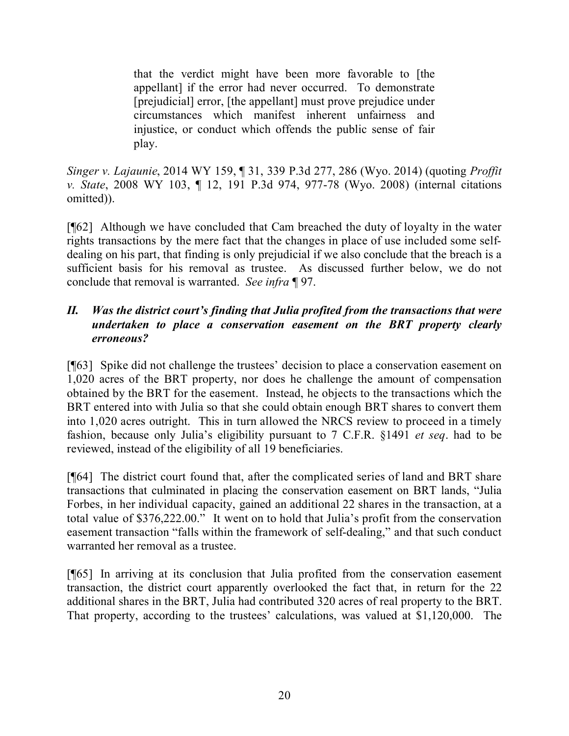that the verdict might have been more favorable to [the appellant] if the error had never occurred. To demonstrate [prejudicial] error, [the appellant] must prove prejudice under circumstances which manifest inherent unfairness and injustice, or conduct which offends the public sense of fair play.

*Singer v. Lajaunie*, 2014 WY 159, ¶ 31, 339 P.3d 277, 286 (Wyo. 2014) (quoting *Proffit v. State*, 2008 WY 103, ¶ 12, 191 P.3d 974, 977-78 (Wyo. 2008) (internal citations omitted)).

[¶62] Although we have concluded that Cam breached the duty of loyalty in the water rights transactions by the mere fact that the changes in place of use included some selfdealing on his part, that finding is only prejudicial if we also conclude that the breach is a sufficient basis for his removal as trustee. As discussed further below, we do not conclude that removal is warranted. *See infra* ¶ 97.

### *II. Was the district court's finding that Julia profited from the transactions that were undertaken to place a conservation easement on the BRT property clearly erroneous?*

[¶63] Spike did not challenge the trustees' decision to place a conservation easement on 1,020 acres of the BRT property, nor does he challenge the amount of compensation obtained by the BRT for the easement. Instead, he objects to the transactions which the BRT entered into with Julia so that she could obtain enough BRT shares to convert them into 1,020 acres outright. This in turn allowed the NRCS review to proceed in a timely fashion, because only Julia's eligibility pursuant to 7 C.F.R. §1491 *et seq*. had to be reviewed, instead of the eligibility of all 19 beneficiaries.

[¶64] The district court found that, after the complicated series of land and BRT share transactions that culminated in placing the conservation easement on BRT lands, "Julia Forbes, in her individual capacity, gained an additional 22 shares in the transaction, at a total value of \$376,222.00." It went on to hold that Julia's profit from the conservation easement transaction "falls within the framework of self-dealing," and that such conduct warranted her removal as a trustee.

[¶65] In arriving at its conclusion that Julia profited from the conservation easement transaction, the district court apparently overlooked the fact that, in return for the 22 additional shares in the BRT, Julia had contributed 320 acres of real property to the BRT. That property, according to the trustees' calculations, was valued at \$1,120,000. The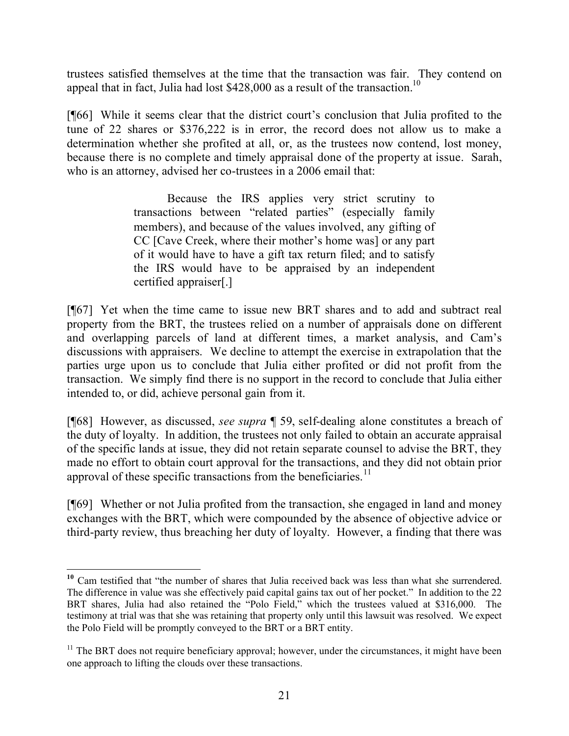trustees satisfied themselves at the time that the transaction was fair. They contend on appeal that in fact, Julia had lost  $$428,000$  as a result of the transaction.<sup>10</sup>

[¶66] While it seems clear that the district court's conclusion that Julia profited to the tune of 22 shares or \$376,222 is in error, the record does not allow us to make a determination whether she profited at all, or, as the trustees now contend, lost money, because there is no complete and timely appraisal done of the property at issue. Sarah, who is an attorney, advised her co-trustees in a 2006 email that:

> Because the IRS applies very strict scrutiny to transactions between "related parties" (especially family members), and because of the values involved, any gifting of CC [Cave Creek, where their mother's home was] or any part of it would have to have a gift tax return filed; and to satisfy the IRS would have to be appraised by an independent certified appraiser[.]

[¶67] Yet when the time came to issue new BRT shares and to add and subtract real property from the BRT, the trustees relied on a number of appraisals done on different and overlapping parcels of land at different times, a market analysis, and Cam's discussions with appraisers. We decline to attempt the exercise in extrapolation that the parties urge upon us to conclude that Julia either profited or did not profit from the transaction. We simply find there is no support in the record to conclude that Julia either intended to, or did, achieve personal gain from it.

[¶68] However, as discussed, *see supra* ¶ 59, self-dealing alone constitutes a breach of the duty of loyalty. In addition, the trustees not only failed to obtain an accurate appraisal of the specific lands at issue, they did not retain separate counsel to advise the BRT, they made no effort to obtain court approval for the transactions, and they did not obtain prior approval of these specific transactions from the beneficiaries.<sup>11</sup>

[¶69] Whether or not Julia profited from the transaction, she engaged in land and money exchanges with the BRT, which were compounded by the absence of objective advice or third-party review, thus breaching her duty of loyalty. However, a finding that there was

<sup>&</sup>lt;sup>10</sup> Cam testified that "the number of shares that Julia received back was less than what she surrendered. The difference in value was she effectively paid capital gains tax out of her pocket." In addition to the 22 BRT shares, Julia had also retained the "Polo Field," which the trustees valued at \$316,000. The testimony at trial was that she was retaining that property only until this lawsuit was resolved. We expect the Polo Field will be promptly conveyed to the BRT or a BRT entity.

 $11$  The BRT does not require beneficiary approval; however, under the circumstances, it might have been one approach to lifting the clouds over these transactions.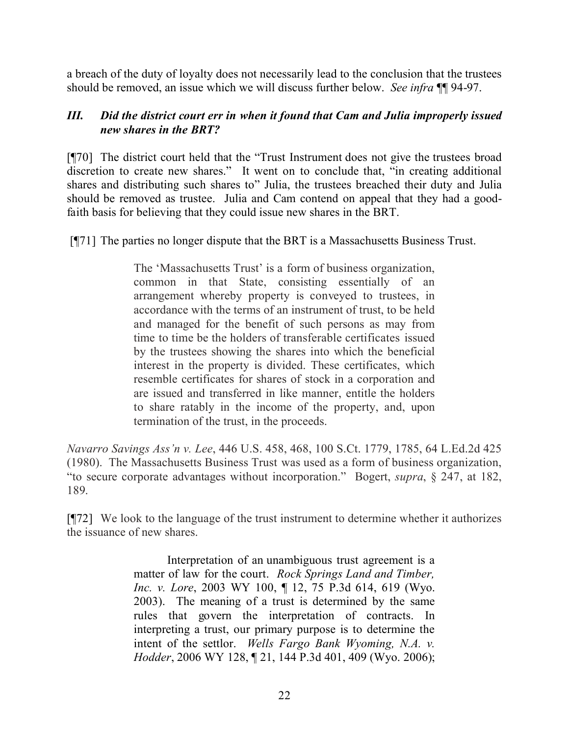a breach of the duty of loyalty does not necessarily lead to the conclusion that the trustees should be removed, an issue which we will discuss further below. *See infra* ¶¶ 94-97.

### *III. Did the district court err in when it found that Cam and Julia improperly issued new shares in the BRT?*

[¶70] The district court held that the "Trust Instrument does not give the trustees broad discretion to create new shares." It went on to conclude that, "in creating additional shares and distributing such shares to" Julia, the trustees breached their duty and Julia should be removed as trustee. Julia and Cam contend on appeal that they had a goodfaith basis for believing that they could issue new shares in the BRT.

[¶71] The parties no longer dispute that the BRT is a Massachusetts Business Trust.

The 'Massachusetts Trust' is a form of business organization, common in that State, consisting essentially of an arrangement whereby property is conveyed to trustees, in accordance with the terms of an instrument of trust, to be held and managed for the benefit of such persons as may from time to time be the holders of transferable certificates issued by the trustees showing the shares into which the beneficial interest in the property is divided. These certificates, which resemble certificates for shares of stock in a corporation and are issued and transferred in like manner, entitle the holders to share ratably in the income of the property, and, upon termination of the trust, in the proceeds.

*Navarro Savings Ass'n v. Lee*, 446 U.S. 458, 468, 100 S.Ct. 1779, 1785, 64 L.Ed.2d 425 (1980). The Massachusetts Business Trust was used as a form of business organization, "to secure corporate advantages without incorporation." Bogert, *supra*, § 247, at 182, 189.

[¶72] We look to the language of the trust instrument to determine whether it authorizes the issuance of new shares.

> Interpretation of an unambiguous trust agreement is a matter of law for the court. *Rock Springs Land and Timber, Inc. v. Lore*, 2003 WY 100, ¶ 12, 75 P.3d 614, 619 (Wyo. 2003). The meaning of a trust is determined by the same rules that govern the interpretation of contracts. In interpreting a trust, our primary purpose is to determine the intent of the settlor. *Wells Fargo Bank Wyoming, N.A. v. Hodder*, 2006 WY 128, ¶ 21, 144 P.3d 401, 409 (Wyo. 2006);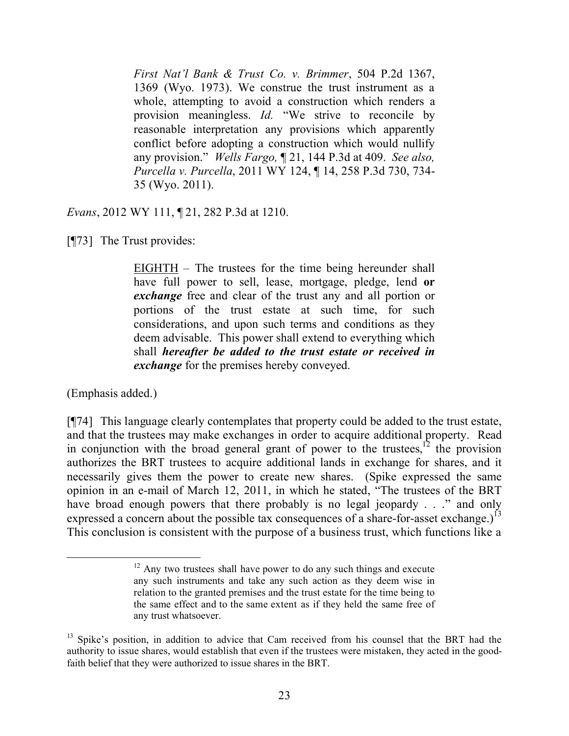*First Nat'l Bank & Trust Co. v. Brimmer*, 504 P.2d 1367, 1369 (Wyo. 1973). We construe the trust instrument as a whole, attempting to avoid a construction which renders a provision meaningless. *Id.* "We strive to reconcile by reasonable interpretation any provisions which apparently conflict before adopting a construction which would nullify any provision." *Wells Fargo,* ¶ 21, 144 P.3d at 409. *See also, Purcella v. Purcella*, 2011 WY 124, ¶ 14, 258 P.3d 730, 734- 35 (Wyo. 2011).

*Evans*, 2012 WY 111, ¶ 21, 282 P.3d at 1210.

[¶73] The Trust provides:

EIGHTH – The trustees for the time being hereunder shall have full power to sell, lease, mortgage, pledge, lend **or**  *exchange* free and clear of the trust any and all portion or portions of the trust estate at such time, for such considerations, and upon such terms and conditions as they deem advisable. This power shall extend to everything which shall *hereafter be added to the trust estate or received in exchange* for the premises hereby conveyed.

(Emphasis added.)

[¶74] This language clearly contemplates that property could be added to the trust estate, and that the trustees may make exchanges in order to acquire additional property. Read in conjunction with the broad general grant of power to the trustees, $^{12}$  the provision authorizes the BRT trustees to acquire additional lands in exchange for shares, and it necessarily gives them the power to create new shares. (Spike expressed the same opinion in an e-mail of March 12, 2011, in which he stated, "The trustees of the BRT have broad enough powers that there probably is no legal jeopardy . . ." and only expressed a concern about the possible tax consequences of a share-for-asset exchange.)<sup>13</sup> This conclusion is consistent with the purpose of a business trust, which functions like a

 $12$  Any two trustees shall have power to do any such things and execute any such instruments and take any such action as they deem wise in relation to the granted premises and the trust estate for the time being to the same effect and to the same extent as if they held the same free of any trust whatsoever.

<sup>&</sup>lt;sup>13</sup> Spike's position, in addition to advice that Cam received from his counsel that the BRT had the authority to issue shares, would establish that even if the trustees were mistaken, they acted in the goodfaith belief that they were authorized to issue shares in the BRT.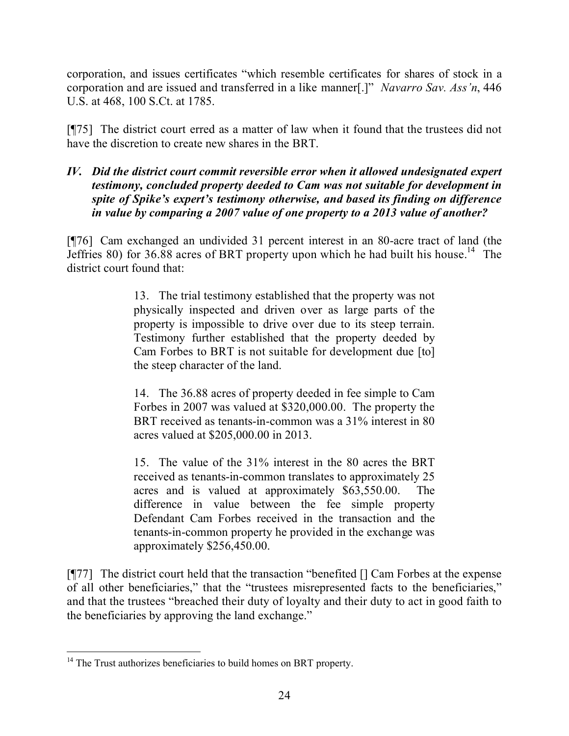corporation, and issues certificates "which resemble certificates for shares of stock in a corporation and are issued and transferred in a like manner[.]" *Navarro Sav. Ass'n*, 446 U.S. at 468, 100 S.Ct. at 1785.

[¶75] The district court erred as a matter of law when it found that the trustees did not have the discretion to create new shares in the BRT.

### *IV. Did the district court commit reversible error when it allowed undesignated expert testimony, concluded property deeded to Cam was not suitable for development in spite of Spike's expert's testimony otherwise, and based its finding on difference in value by comparing a 2007 value of one property to a 2013 value of another?*

[¶76] Cam exchanged an undivided 31 percent interest in an 80-acre tract of land (the Jeffries 80) for 36.88 acres of BRT property upon which he had built his house.<sup>14</sup> The district court found that:

> 13. The trial testimony established that the property was not physically inspected and driven over as large parts of the property is impossible to drive over due to its steep terrain. Testimony further established that the property deeded by Cam Forbes to BRT is not suitable for development due [to] the steep character of the land.

> 14. The 36.88 acres of property deeded in fee simple to Cam Forbes in 2007 was valued at \$320,000.00. The property the BRT received as tenants-in-common was a 31% interest in 80 acres valued at \$205,000.00 in 2013.

> 15. The value of the 31% interest in the 80 acres the BRT received as tenants-in-common translates to approximately 25 acres and is valued at approximately \$63,550.00. The difference in value between the fee simple property Defendant Cam Forbes received in the transaction and the tenants-in-common property he provided in the exchange was approximately \$256,450.00.

[¶77] The district court held that the transaction "benefited [] Cam Forbes at the expense of all other beneficiaries," that the "trustees misrepresented facts to the beneficiaries," and that the trustees "breached their duty of loyalty and their duty to act in good faith to the beneficiaries by approving the land exchange."

 <sup>14</sup> The Trust authorizes beneficiaries to build homes on BRT property.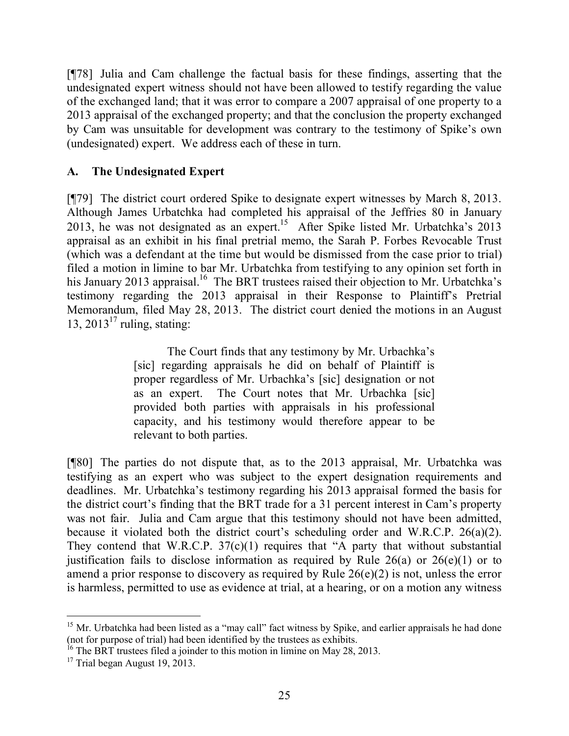[¶78] Julia and Cam challenge the factual basis for these findings, asserting that the undesignated expert witness should not have been allowed to testify regarding the value of the exchanged land; that it was error to compare a 2007 appraisal of one property to a 2013 appraisal of the exchanged property; and that the conclusion the property exchanged by Cam was unsuitable for development was contrary to the testimony of Spike's own (undesignated) expert. We address each of these in turn.

## **A. The Undesignated Expert**

[¶79] The district court ordered Spike to designate expert witnesses by March 8, 2013. Although James Urbatchka had completed his appraisal of the Jeffries 80 in January 2013, he was not designated as an expert.<sup>15</sup> After Spike listed Mr. Urbatchka's 2013 appraisal as an exhibit in his final pretrial memo, the Sarah P. Forbes Revocable Trust (which was a defendant at the time but would be dismissed from the case prior to trial) filed a motion in limine to bar Mr. Urbatchka from testifying to any opinion set forth in his January 2013 appraisal.<sup>16</sup> The BRT trustees raised their objection to Mr. Urbatchka's testimony regarding the 2013 appraisal in their Response to Plaintiff's Pretrial Memorandum, filed May 28, 2013. The district court denied the motions in an August 13,  $2013^{17}$  ruling, stating:

> The Court finds that any testimony by Mr. Urbachka's [sic] regarding appraisals he did on behalf of Plaintiff is proper regardless of Mr. Urbachka's [sic] designation or not as an expert. The Court notes that Mr. Urbachka [sic] provided both parties with appraisals in his professional capacity, and his testimony would therefore appear to be relevant to both parties.

[¶80] The parties do not dispute that, as to the 2013 appraisal, Mr. Urbatchka was testifying as an expert who was subject to the expert designation requirements and deadlines. Mr. Urbatchka's testimony regarding his 2013 appraisal formed the basis for the district court's finding that the BRT trade for a 31 percent interest in Cam's property was not fair. Julia and Cam argue that this testimony should not have been admitted, because it violated both the district court's scheduling order and W.R.C.P. 26(a)(2). They contend that W.R.C.P.  $37(c)(1)$  requires that "A party that without substantial justification fails to disclose information as required by Rule  $26(a)$  or  $26(e)(1)$  or to amend a prior response to discovery as required by Rule 26(e)(2) is not, unless the error is harmless, permitted to use as evidence at trial, at a hearing, or on a motion any witness

<sup>&</sup>lt;sup>15</sup> Mr. Urbatchka had been listed as a "may call" fact witness by Spike, and earlier appraisals he had done (not for purpose of trial) had been identified by the trustees as exhibits.

<sup>&</sup>lt;sup>16</sup> The BRT trustees filed a joinder to this motion in limine on May 28, 2013.

<sup>&</sup>lt;sup>17</sup> Trial began August 19,  $2013$ .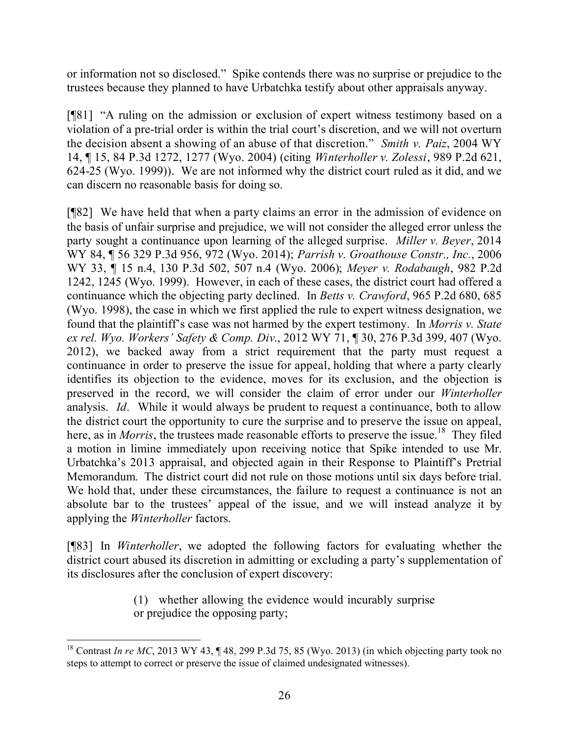or information not so disclosed." Spike contends there was no surprise or prejudice to the trustees because they planned to have Urbatchka testify about other appraisals anyway.

[¶81] "A ruling on the admission or exclusion of expert witness testimony based on a violation of a pre-trial order is within the trial court's discretion, and we will not overturn the decision absent a showing of an abuse of that discretion." *Smith v. Paiz*, 2004 WY 14, ¶ 15, 84 P.3d 1272, 1277 (Wyo. 2004) (citing *Winterholler v. Zolessi*, 989 P.2d 621, 624-25 (Wyo. 1999)). We are not informed why the district court ruled as it did, and we can discern no reasonable basis for doing so.

[¶82] We have held that when a party claims an error in the admission of evidence on the basis of unfair surprise and prejudice, we will not consider the alleged error unless the party sought a continuance upon learning of the alleged surprise. *Miller v. Beyer*, 2014 WY 84, ¶ 56 329 P.3d 956, 972 (Wyo. 2014); *Parrish v. Groathouse Constr., Inc.*, 2006 WY 33, ¶ 15 n.4, 130 P.3d 502, 507 n.4 (Wyo. 2006); *Meyer v. Rodabaugh*, 982 P.2d 1242, 1245 (Wyo. 1999). However, in each of these cases, the district court had offered a continuance which the objecting party declined. In *Betts v. Crawford*, 965 P.2d 680, 685 (Wyo. 1998), the case in which we first applied the rule to expert witness designation, we found that the plaintiff's case was not harmed by the expert testimony. In *Morris v. State ex rel. Wyo. Workers' Safety & Comp. Div*., 2012 WY 71, ¶ 30, 276 P.3d 399, 407 (Wyo. 2012), we backed away from a strict requirement that the party must request a continuance in order to preserve the issue for appeal, holding that where a party clearly identifies its objection to the evidence, moves for its exclusion, and the objection is preserved in the record, we will consider the claim of error under our *Winterholler* analysis. *Id*. While it would always be prudent to request a continuance, both to allow the district court the opportunity to cure the surprise and to preserve the issue on appeal, here, as in *Morris*, the trustees made reasonable efforts to preserve the issue.<sup>18</sup> They filed a motion in limine immediately upon receiving notice that Spike intended to use Mr. Urbatchka's 2013 appraisal, and objected again in their Response to Plaintiff's Pretrial Memorandum. The district court did not rule on those motions until six days before trial. We hold that, under these circumstances, the failure to request a continuance is not an absolute bar to the trustees' appeal of the issue, and we will instead analyze it by applying the *Winterholler* factors.

[¶83] In *Winterholler*, we adopted the following factors for evaluating whether the district court abused its discretion in admitting or excluding a party's supplementation of its disclosures after the conclusion of expert discovery:

> (1) whether allowing the evidence would incurably surprise or prejudice the opposing party;

 <sup>18</sup> Contrast *In re MC*, 2013 WY 43,  $\P$  48, 299 P.3d 75, 85 (Wyo. 2013) (in which objecting party took no steps to attempt to correct or preserve the issue of claimed undesignated witnesses).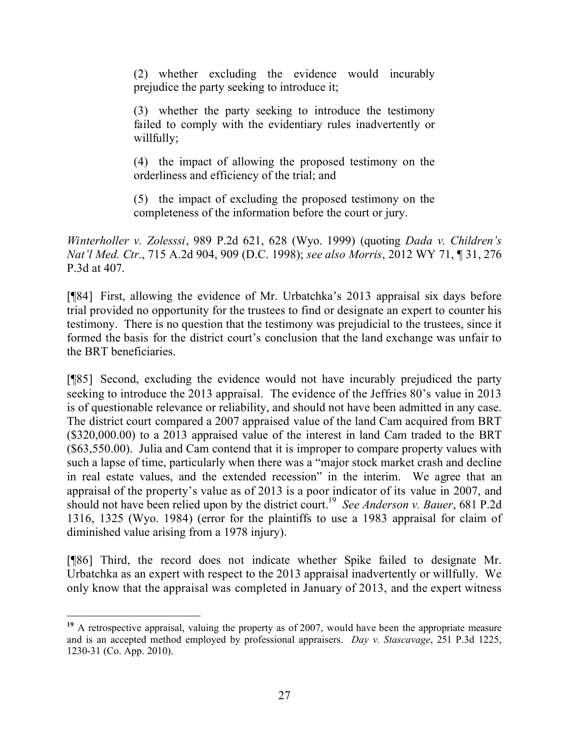(2) whether excluding the evidence would incurably prejudice the party seeking to introduce it;

(3) whether the party seeking to introduce the testimony failed to comply with the evidentiary rules inadvertently or willfully;

(4) the impact of allowing the proposed testimony on the orderliness and efficiency of the trial; and

(5) the impact of excluding the proposed testimony on the completeness of the information before the court or jury.

*Winterholler v. Zolesssi*, 989 P.2d 621, 628 (Wyo. 1999) (quoting *Dada v. Children's Nat'l Med. Ctr.*, 715 A.2d 904, 909 (D.C. 1998); *see also Morris*, 2012 WY 71, ¶ 31, 276 P.3d at 407.

[¶84] First, allowing the evidence of Mr. Urbatchka's 2013 appraisal six days before trial provided no opportunity for the trustees to find or designate an expert to counter his testimony. There is no question that the testimony was prejudicial to the trustees, since it formed the basis for the district court's conclusion that the land exchange was unfair to the BRT beneficiaries.

[¶85] Second, excluding the evidence would not have incurably prejudiced the party seeking to introduce the 2013 appraisal. The evidence of the Jeffries 80's value in 2013 is of questionable relevance or reliability, and should not have been admitted in any case. The district court compared a 2007 appraised value of the land Cam acquired from BRT (\$320,000.00) to a 2013 appraised value of the interest in land Cam traded to the BRT (\$63,550.00). Julia and Cam contend that it is improper to compare property values with such a lapse of time, particularly when there was a "major stock market crash and decline in real estate values, and the extended recession" in the interim. We agree that an appraisal of the property's value as of 2013 is a poor indicator of its value in 2007, and should not have been relied upon by the district court. 19 *See Anderson v. Bauer*, 681 P.2d 1316, 1325 (Wyo. 1984) (error for the plaintiffs to use a 1983 appraisal for claim of diminished value arising from a 1978 injury).

[¶86] Third, the record does not indicate whether Spike failed to designate Mr. Urbatchka as an expert with respect to the 2013 appraisal inadvertently or willfully. We only know that the appraisal was completed in January of 2013, and the expert witness

 <sup>19</sup> A retrospective appraisal, valuing the property as of 2007, would have been the appropriate measure and is an accepted method employed by professional appraisers. *Day v. Stascavage*, 251 P.3d 1225, 1230-31 (Co. App. 2010).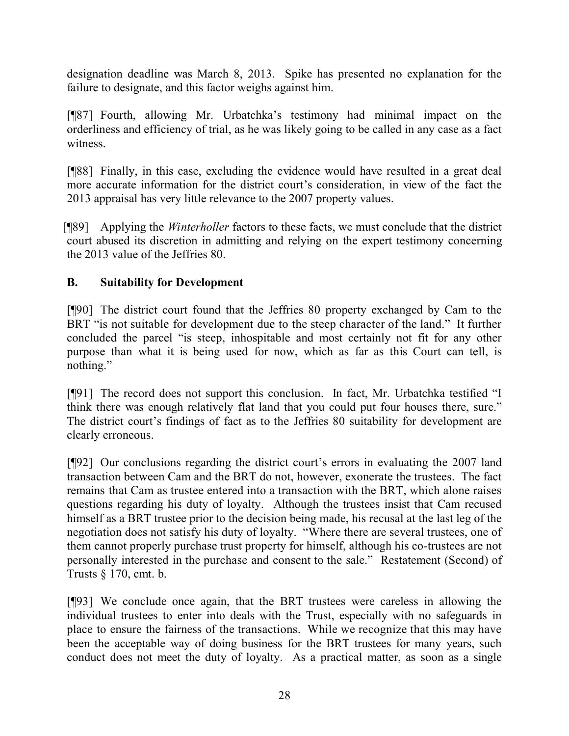designation deadline was March 8, 2013. Spike has presented no explanation for the failure to designate, and this factor weighs against him.

[¶87] Fourth, allowing Mr. Urbatchka's testimony had minimal impact on the orderliness and efficiency of trial, as he was likely going to be called in any case as a fact witness.

[¶88] Finally, in this case, excluding the evidence would have resulted in a great deal more accurate information for the district court's consideration, in view of the fact the 2013 appraisal has very little relevance to the 2007 property values.

[¶89] Applying the *Winterholler* factors to these facts, we must conclude that the district court abused its discretion in admitting and relying on the expert testimony concerning the 2013 value of the Jeffries 80.

## **B. Suitability for Development**

[¶90] The district court found that the Jeffries 80 property exchanged by Cam to the BRT "is not suitable for development due to the steep character of the land." It further concluded the parcel "is steep, inhospitable and most certainly not fit for any other purpose than what it is being used for now, which as far as this Court can tell, is nothing."

[¶91] The record does not support this conclusion. In fact, Mr. Urbatchka testified "I think there was enough relatively flat land that you could put four houses there, sure." The district court's findings of fact as to the Jeffries 80 suitability for development are clearly erroneous.

[¶92] Our conclusions regarding the district court's errors in evaluating the 2007 land transaction between Cam and the BRT do not, however, exonerate the trustees. The fact remains that Cam as trustee entered into a transaction with the BRT, which alone raises questions regarding his duty of loyalty. Although the trustees insist that Cam recused himself as a BRT trustee prior to the decision being made, his recusal at the last leg of the negotiation does not satisfy his duty of loyalty. "Where there are several trustees, one of them cannot properly purchase trust property for himself, although his co-trustees are not personally interested in the purchase and consent to the sale." Restatement (Second) of Trusts § 170, cmt. b.

[¶93] We conclude once again, that the BRT trustees were careless in allowing the individual trustees to enter into deals with the Trust, especially with no safeguards in place to ensure the fairness of the transactions. While we recognize that this may have been the acceptable way of doing business for the BRT trustees for many years, such conduct does not meet the duty of loyalty. As a practical matter, as soon as a single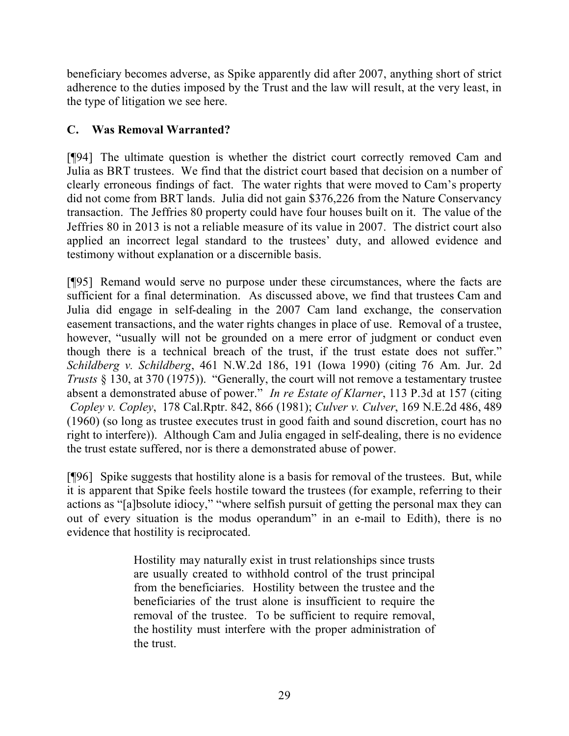beneficiary becomes adverse, as Spike apparently did after 2007, anything short of strict adherence to the duties imposed by the Trust and the law will result, at the very least, in the type of litigation we see here.

## **C. Was Removal Warranted?**

[¶94] The ultimate question is whether the district court correctly removed Cam and Julia as BRT trustees. We find that the district court based that decision on a number of clearly erroneous findings of fact. The water rights that were moved to Cam's property did not come from BRT lands. Julia did not gain \$376,226 from the Nature Conservancy transaction. The Jeffries 80 property could have four houses built on it. The value of the Jeffries 80 in 2013 is not a reliable measure of its value in 2007. The district court also applied an incorrect legal standard to the trustees' duty, and allowed evidence and testimony without explanation or a discernible basis.

[¶95] Remand would serve no purpose under these circumstances, where the facts are sufficient for a final determination. As discussed above, we find that trustees Cam and Julia did engage in self-dealing in the 2007 Cam land exchange, the conservation easement transactions, and the water rights changes in place of use. Removal of a trustee, however, "usually will not be grounded on a mere error of judgment or conduct even though there is a technical breach of the trust, if the trust estate does not suffer." *Schildberg v. Schildberg*, 461 N.W.2d 186, 191 (Iowa 1990) (citing 76 Am. Jur. 2d *Trusts* § 130, at 370 (1975)). "Generally, the court will not remove a testamentary trustee absent a demonstrated abuse of power." *In re Estate of Klarner*, 113 P.3d at 157 (citing *Copley v. Copley*, 178 Cal.Rptr. 842, 866 (1981); *Culver v. Culver*, 169 N.E.2d 486, 489 (1960) (so long as trustee executes trust in good faith and sound discretion, court has no right to interfere)). Although Cam and Julia engaged in self-dealing, there is no evidence the trust estate suffered, nor is there a demonstrated abuse of power.

[¶96] Spike suggests that hostility alone is a basis for removal of the trustees. But, while it is apparent that Spike feels hostile toward the trustees (for example, referring to their actions as "[a]bsolute idiocy," "where selfish pursuit of getting the personal max they can out of every situation is the modus operandum" in an e-mail to Edith), there is no evidence that hostility is reciprocated.

> Hostility may naturally exist in trust relationships since trusts are usually created to withhold control of the trust principal from the beneficiaries. Hostility between the trustee and the beneficiaries of the trust alone is insufficient to require the removal of the trustee. To be sufficient to require removal, the hostility must interfere with the proper administration of the trust.